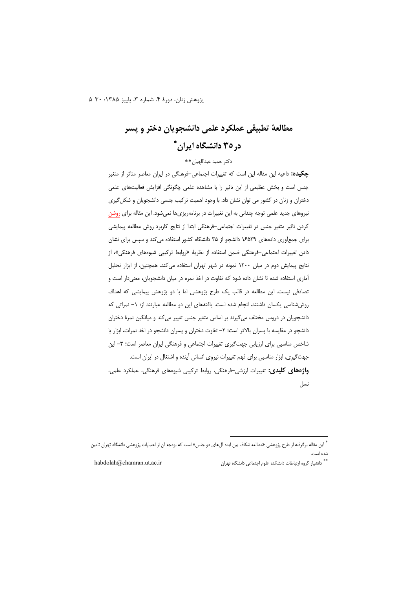# مطالعة تطبيقي عملكرد علمي دانشجويان دختر و يسر د, ۳۵ دانشگاه ایران\*

### دكتر حميد عبداللهيان \*\*

**چکیده:** داعیه این مقاله این است که تغییرات اجتماعی-فرهنگی در ایران معاصر متاثر از متغیر جنس است و بخش عظیمی از این تاثیر را با مشاهده علمی چگونگی افزایش فعالیتهای علمی دختران و زنان در کشور می توان نشان داد. با وجود اهمیت ترکیب جنسی دانشجویان و شکل گیری نیروهای جدید علمی توجه چندانی به این تغییرات در برنامهریزیها نمیشود. این مقاله برای روشن كردن تاثير متغير جنس در تغييرات اجتماعي-فرهنگي ابتدا از نتايج كاربرد روش مطالعه پيمايشي برای جمع آوری دادههای ۱۶۵۳۹ دانشجو از ۳۵ دانشگاه کشور استفاده می کند و سپس برای نشان دادن تغییرات اجتماعی-فرهنگی ضمن استفاده از نظریهٔ «روابط ترکیبی شیوههای فرهنگی»، از نتایج پیمایش دوم در میان ۱۲۰۰ نمونه در شهر تهران استفاده می کند. همچنین، از ابزار تحلیل آماری استفاده شده تا نشان داده شود که تفاوت در اخذ نمره در میان دانشجویان، معنیدار است و تصادفی نیست. این مطالعه در قالب یک طرح پژوهشی اما با دو پژوهش پیمایشی که اهداف روششناسی یکسان داشتند، انجام شده است. یافتههای این دو مطالعه عبارتند از: ١– نمراتی که دانشجویان در دروس مختلف می گیرند بر اساس متغیر جنس تغییر می کند و میانگین نمرهٔ دختران دانشجو در مقایسه با پسران بالاتر است؛ ٢- تفاوت دختران و پسران دانشجو در اخذ نمرات، ابزار یا شاخص مناسبی برای ارزیابی جهتگیری تغییرات اجتماعی و فرهنگی ایران معاصر است؛ ٣- این جهت گیری، ابزار مناسبی برای فهم تغییرات نیروی انسانی آینده و اشتغال در ایران است. واژههای کلیدی: تغییرات ارزشی-فرهنگی، روابط ترکیبی شیوههای فرهنگی، عملکرد علمی، نسل

ا\*\* دانشیار گروه ارتباطات دانشکده علوم اجتماعی دانشگاه تهران

habdolah@chamran.ut.ac.ir

<sup>&</sup>lt;sup>ة</sup> اين مقاله برگرفته از طرح پژوهشى «مطالعه شكاف بين ايده آل.هاى دو جنس» است كه بودجه آن از اعتبارات پژوهشى دانشگاه تهران تامين شده است.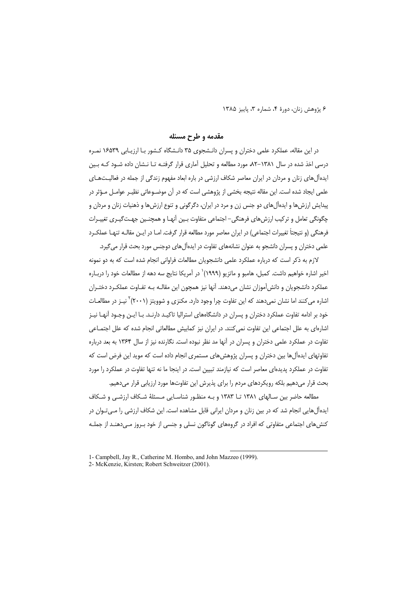### مقدمه و طرح مسئله

در این مقاله، عملکرد علمی دختران و پسران دانـشجوی ۳۵ دانـشگاه کـشور بـا ارزیـابی ۱۶۵۳۹ نمـره درسی اخذ شده در سال ۱۳۸۱–۸۲ مورد مطالعه و تحلیل آماری قرار گرفتـه تـا نـشان داده شـود کـه بـین ایدهآل های زنان و مردان در ایران معاصر شکاف ارزشی در باره ابعاد مفهوم زندگی از جمله در فعالیـتهـای علمی ایجاد شده است. این مقاله نتیجه بخشی از پژوهشی است که در آن موضـوعاتی نظیـر عوامـل مـؤثر در پيدايش ارزش ها و ايدهآل هاي دو جنس زن و مرد در ايران، دگر گوني و تنوع ارزش ها و ذهنيات زنان و مردان و چگونگی تعامل و ترکیب ارزش های فرهنگی– اجتماعی متفاوت بـین آنهـا و همچنـین جهـت $\mathbb{Z}_+$ ی تغییـرات فرهنگی (و نتیجتاً تغییرات اجتماعی) در ایران معاصر مورد مطالعه قرار گرفت. امـا در ایـن مقالـه تنهـا عملكـرد علمي دختران و پسران دانشجو به عنوان نشانههاي تفاوت در ايدهآل هاي دوجنس مورد بحث قرار مي گيرد.

لازم به ذکر است که درباره عملکرد علمی دانشجویان مطالعات فراوانی انجام شده است که به دو نمونه اخیر اشاره خواهیم داشت. کمبل، هامبو و ماتزیو (۱۹۹۹)` در آمریکا نتایج سه دهه از مطالعات خود را دربـاره عملکرد دانشجویان و دانش آموزان نشان میدهند. آنها نیز همچون این مقالـه بـه تفـاوت عملکـرد دختـران اشاره میکنند اما نشان نمیدهند که این تفاوت چرا وجود دارد. مکنزی و شوویتز (۲۰۰۱)<sup>۲</sup> نیـز در مطالعـات خود بر ادامه تفاوت عملکرد دختران و پسران در دانشگاههای استرالیا تاکیـد دارنـد. بـا ایـن وجـود آنهـا نیـز اشارهای به علل اجتماعی این تفاوت نمی کنند. در ایران نیز کمابیش مطالعاتی انجام شده که علل اجتمـاعی تفاوت در عملکرد علمی دختران و پسران در آنها مد نظر نبوده است. نگارنده نیز از سال ۱۳۶۴ به بعد درباره تفاوتهای ایدهآلها بین دختران و پسران پژوهش های مستمری انجام داده است که موید این فرض است که تفاوت در عملکرد پدیدهای معاصر است که نیازمند تبیین است. در اینجا ما نه تنها تفاوت در عملکرد را مورد بحث قرار میدهیم بلکه رویکردهای مردم را برای پذیرش این تفاوتها مورد ارزیابی قرار میدهیم.

مطالعه حاضر بین سـالهای ۱۳۸۱ تــا ۱۳۸۳ و بـه منظـور شناسـایی مـسئلهٔ شـكاف ارزشـی و شـكاف ایدهآل هایی انجام شد که در بین زنان و مردان ایرانی قابل مشاهده است. این شکاف ارزشی را مـی تـوان در کنشهای اجتماعی متفاوتی که افراد در گروههای گوناگون نسلی و جنسی از خود بـروز مـیدهنـد از جملـه

<sup>1-</sup> Campbell, Jay R., Catherine M. Hombo, and John Mazzeo (1999).

<sup>2-</sup> McKenzie, Kirsten; Robert Schweitzer (2001).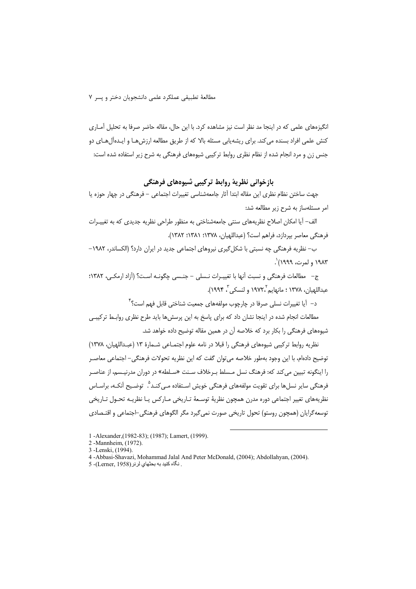مطالعهٔ تطبیقی عملکرد علمی دانشجویان دختر و پسر ۷

انگیزههای علمی که در اینجا مد نظر است نیز مشاهده کرد. با این حال، مقاله حاضر صرفا به تحلیل آمـاری کنش علمی افراد بسنده می کند. برای ریشه پایی مسئله بالا که از طریق مطالعه ارزش هـا و ایـدهآل هـای دو جنس زن و مرد انجام شده از نظام نظری روابط ترکیبی شیوههای فرهنگی به شرح زیر استفاده شده است:

### بازخوانی نظریهٔ روابط ترکیبی شیوههای فرهنگی

جهت ساختن نظام نظري اين مقاله ابتدا آثار جامعهشناسي تغييرات اجتماعي – فرهنگي در چهار حوزه يا امر مسئلهساز به شرح زير مطالعه شد:

الف– آیا امکان اصلاح نظریههای سنتی جامعهشناختی به منظور طراحی نظریه جدیدی که به تغییـرات فرهنگي معاصر بيردازد، فراهم است؟ (عبداللهيان، ١٣٧٨؛ ١٣٨٢؛ ١٣٨٢).

ب– نظریه فرهنگی چه نسبتی با شکل گیری نیروهای اجتماعی جدید در ایران دارد؟ (الکساندر، ۱۹۸۲– ۱۹۸۳ و لمرت، ۱۹۹۹) .

ج– مطالعات فرهنگي و نسبت آنها با تغييـرات نـسلي – جنـسي چگونـه اسـت؟ (آزاد ارمكـي، ١٣٨٢؛ عبداللهيان، ١٣٧٨ ؛ مانهايم ١٩٧٢، و لنسكي"، ١٩٩۴).

د– آیا تغییرات نسلی صرفا در چارچوب مولفههای جمعیت شناختی قابل فهم است؟ <sup>۴</sup>

مطالعات انجام شده در اینجا نشان داد که برای پاسخ به این پرسشها باید طرح نظری روابط ترکیبے شیوههای فرهنگی را بکار برد که خلاصه آن در همین مقاله توضیح داده خواهد شد.

نظریه روابط ترکیبی شیوههای فرهنگی را قبلا در نامه علوم اجتمـاعی شـمارهٔ ۱۳ (عبـداللهیان، ۱۳۷۸) توضيح دادهام، با اين وجود بهطور خلاصه مي توان گفت كه اين نظريه تحولات فرهنگي– اجتماعي معاصـر را اینگونه تبیین می کند که: فرهنگ نسل مـسلط بـرخلاف سـنت «سـلطه» در دوران مدرنیـسم، از عناصـر فرهنگی سایر نسلها برای تقویت مولفههای فرهنگی خویش اسـتفاده مـیcنـد<sup>۹</sup>. توضـیح آنکـه، براسـاس نظريههاي تغيير اجتماعي دوره مدرن همجون نظرية توسعةَ تـاريخي مـاركس يـا نظريـه تحـول تـاريخي توسعه گرایان (همچون روستو) تحول تاریخی صورت نمی گیرد مگر الگوهای فرهنگی-اجتماعی و اقتـصادی

1-Alexander (1982-83); (1987); Lamert, (1999).

- 2 -Mannheim, (1972).
- 3 Lenski (1994)
- 4 -Abbasi-Shavazi, Mohammad Jalal And Peter McDonald, (2004); Abdollahyan, (2004).
- . نگاه كنيد به بحثهاى لرنر (Lerner, 1958)- 5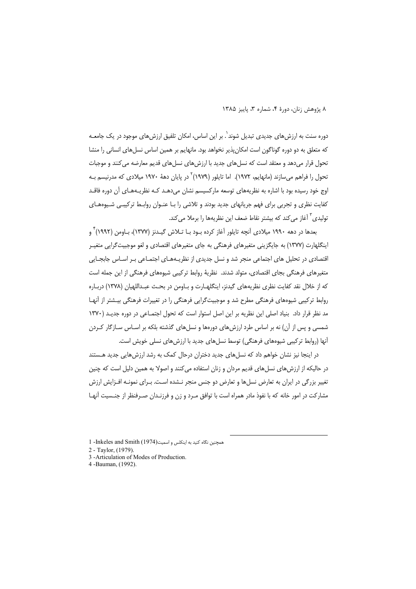دوره سنت به ارزش های جدیدی تبدیل شوند<sup>٬</sup>. بر این اساس، امکان تلفیق ارزش های موجود در یک جامعـه که متعلق به دو دوره گوناگون است امکان پذیر نخواهد بود. مانهایم بر همین اساس نسل های انسانی را منشا تحول قرار میدهد و معتقد است که نسلهای جدید با ارزشهای نسلهای قدیم معارضه می کنند و موجبات تحول را فراهم می سازند (مانهایم، ۱۹۷۲). اما تایلور (۱۹۷۹)<sup>۲</sup> در پایان دههٔ ۱۹۷۰ میلادی که مدرنیسم بـه اوج خود رسیده بود با اشاره به نظریههای توسعه مارکسیسم نشان می دهـد کـه نظریـههـای آن دوره فاقـد کفایت نظری و تجربی برای فهم جریانهای جدید بودند و تلاشی را بـا عنـوان روابـط ترکیبـی شـیوههـای توليدي<sup>٣</sup> آغاز مي كند كه بيشتر نقاط ضعف اين نظريهها را برملا مي كند.

بعدها در دهه ۱۹۹۰ میلادی آنچه تایلور آغاز کرده بـود بـا تــلاش گیــدنز (۱۳۷۷)، بــاومن (۱۹۹۲) <sup>۴</sup> و اینگلهارت (۱۳۷۷) به جایگزینی متغیرهای فرهنگی به جای متغیرهای اقتصادی و لغو موجبیت گرایی متغیـر اقتصادی در تحلیل های اجتماعی منجر شد و نسل جدیدی از نظریـههـای اجتمـاعی بـر اسـاس جابجـایی متغیرهای فرهنگی بجای اقتصادی، متولد شدند. نظریهٔ روابط ترکیبی شیوههای فرهنگی از این جمله است که از خلال نقد کفایت نظری نظریههای گیدنز، اینگلهـارت و بـاومن در بحـث عبـداللهیان (۱۳۷۸) دربـاره روابط ترکیبی شیوههای فرهنگی مطرح شد و موجبیتگرایی فرهنگی را در تغییرات فرهنگی بیـشتر از آنهـا مد نظر قرار داد. بنیاد اصلی این نظریه بر این اصل استوار است که تحول اجتمـاعی در دوره جدیـد (١٣٧٠ شمسی و پس از آن) نه بر اساس طرد ارزش های دورهها و نسل های گذشته بلکه بر اسـاس سـازگار کـردن آنها (روابط ترکیبی شیوههای فرهنگی) توسط نسل های جدید با ارزش های نسلی خویش است.

در اینجا نیز نشان خواهم داد که نسل های جدید دختران درحال کمک به رشد ارزش هایی جدید هـستند در حالیکه از ارزشهای نسلهای قدیم مردان و زنان استفاده می کنند و اصولا به همین دلیل است که چنین تغییر بزرگی در ایران به تعارض نسلها و تعارض دو جنس منجر نـشده اسـت. بـرای نمونـه افـزایش ارزش مشاركت در امور خانه كه با نفوذ مادر همراه است با توافق مـرد و زن و فرزنـدان صـرفنظر از جنـسيت آنهـا

همجنین نگاه کنید به اینکلس و اسمیت I -Inkeles and Smith (1974)

2 - Taylor (1979)

3 -Articulation of Modes of Production.

4-Bauman, (1992).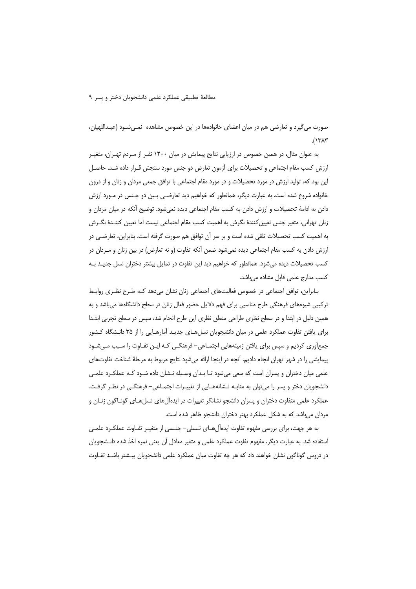### مطالعةَ تطبيقي عملكرد علمي دانشجويان دختر و يسر ٩

صورت می گیرد و تعارضی هم در میان اعضای خانوادهها در این خصوص مشاهده نمـی شـود (عبـداللهیان،  $(1717)$ 

به عنوان مثال، در همین خصوص در ارزیابی نتایج پیمایش در میان ۱۲۰۰ نفـر از مـردم تهـران، متغیـر ارزش کسب مقام اجتماعی و تحصیلات برای آزمون تعارض دو جنس مورد سنجش قـرار داده شـد. حاصـل این بود که، تولید ارزش در مورد تحصیلات و در مورد مقام اجتماعی با توافق جمعی مردان و زنان و از درون خانواده شروع شده است. به عبارت دیگر، همانطور که خواهیم دید تعارضـی بـین دو جـنس در مـورد ارزش دادن به ادامهٔ تحصیلات و ارزش دادن به کسب مقام اجتماعی دیده نمیشود. توضیح آنکه در میان مردان و زنان تهرانی، متغیر جنس تعیین کنندهٔ نگرش به اهمیت کسب مقام اجتماعی نیست اما تعیین کننـدهٔ نگــرش به اهمیت کسب تحصیلات تلقی شده است و بر سر آن توافق هم صورت گرفته است. بنابراین، تعارضـی در ارزش دادن به کسب مقام اجتماعی دیده نمی شود ضمن آنکه تفاوت (و نه تعارض) در بین زنان و مـردان در کسب تحصیلات دیده میشود. همانطور که خواهیم دید این تفاوت در تمایل بیشتر دختران نسل جدیـد بـه کسب مدارج علمی قابل مشاده می باشد.

بنابراین، توافق اجتماعی در خصوص فعالیتهای اجتماعی زنان نشان میدهد کـه طـرح نظـری روابـط ترکیبی شیوههای فرهنگی طرح مناسبی برای فهم دلایل حضور فعال زنان در سطح دانشگاهها میباشد و به همین دلیل در ابتدا و در سطح نظری طراحی منطق نظری این طرح انجام شد، سپس در سطح تجربی ابتـدا برای یافتن تفاوت عملکرد علمی در میان دانشجویان نسل هـای جدیـد آمارهـایی را از ۳۵ دانـشگاه کـشور جمعآوری کردیم و سپس برای یافتن زمینههایی اجتمـاعی- فرهنگـی کـه ایـن تفـاوت را سـبب مـیشـود پیمایشی را در شهر تهران انجام دادیم. آنچه در اینجا ارائه میشود نتایج مربوط به مرحلهٔ شناخت تفاوتهای علمی میان دختران و پسران است که سعی میشود تـا بـدان وسـیله نـشان داده شـود کـه عملکـرد علمـی دانشجویان دختر و پسر را می توان به مثابـه نــشانههــایی از تغییــرات اجتمــاعی- فرهنگــی در نظـر گرفــت. عملکرد علمی متفاوت دختران و پسران دانشجو نشانگر تغییرات در ایدهآلهای نسلهـای گونــاگون زنــان و مردان میباشد که به شکل عملکرد بهتر دختران دانشجو ظاهر شده است.

به هر جهت، برای بررسی مفهوم تفاوت ایدهآل هـای نـسلی– جنـسی از متغیـر تفـاوت عملكـرد علمـی استفاده شد. به عبارت دیگر، مفهوم تفاوت عملکرد علمی و متغیر معادل آن یعنی نمره اخذ شده دانـشجویان در دروس گوناگون نشان خواهند داد که هر چه تفاوت میان عملکرد علمی دانشجویان بیـشتر باشـد تفـاوت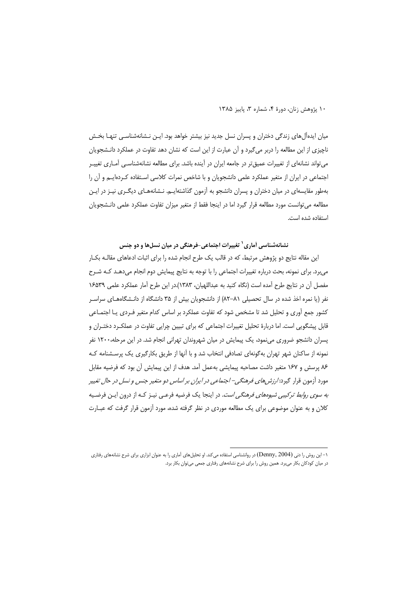میان ایدهآلهای زندگی دختران و پسران نسل جدید نیز بیشتر خواهد بود. ایـن نـشانهشناسـی تنهـا بخـش ناچیزی از این مطالعه را دربر می گیرد و آن عبارت از این است که نشان دهد تفاوت در عملکرد دانـشجویان می تواند نشانهای از تغییرات عمیق تر در جامعه ایران در آینده باشد. برای مطالعه نشانهشناسـی آمـاری تغییـر اجتماعی در ایران از متغیر عملکرد علمی دانشجویان و با شاخص نمرات کلاسی اسـتفاده کــردهایــم و آن را بهطور مقایسهای در میان دختران و پسران دانشجو به آزمون گذاشتهایـم. نـشانههـای دیگـری نیـز در ایـن مطالعه می توانست مورد مطالعه قرار گیرد اما در اینجا فقط از متغیر میزان تفاوت عملکرد علمی دانـشجویان استفاده شده است.

نشانهشناسی اَماری<sup>٬</sup> تغییرات اجتماعی-فرهنگی در میان نسلها و دو جنس

این مقاله نتایج دو پژوهش مرتبط، که در قالب یک طرح انجام شده را برای اثبات ادعاهای مقالـه بکـار می برد. برای نمونه، بحث درباره تغییرات اجتماعی را با توجه به نتایج پیمایش دوم انجام میدهـد کـه شـرح مفصل أن در نتايج طرح آمده است (نگاه كنيد به عبداللهيان، ١٣٨٣).در اين طرح آمار عملكرد علمي ١۶۵٣٩ نفر (یا نمره اخذ شده در سال تحصیلی ۸۱–۸۲) از دانشجویان بیش از ۳۵ دانشگاه از دانـشگاههـای سراسـر کشور جمع آوری و تحلیل شد تا مشخص شود که تفاوت عملکرد بر اساس کدام متغیر فـردی یـا اجتمـاعی قابل پیشگویی است. اما دربارهٔ تحلیل تغییرات اجتماعی که برای تبیین چرایی تفاوت در عملک رد دختـران و پسران دانشجو ضروری مینمود، یک پیمایش در میان شهروندان تهرانی انجام شد. در این مرحله،۱۲۰۰ نفر نمونه از ساکنان شهر تهران بهگونهای تصادفی انتخاب شد و با آنها از طریق بکارگیری یک پرسشنامه ک ۸۶ پرسش و ۱۶۷ متغیر داشت مصاحبه پیمایشی بهعمل آمد. هدف از این پیمایش آن بود که فرضیه مقابل مورد آزمون قرار گیرد: *ارزش های فرهنگی– اجتماعی در ایران بر اساس دو متغیر جنس و نسل در حال تغییر به سوی روابط ترکیبی شیوههای فرهنگی است*. در اینجا یک فرضیه فرعـی نیـز کـه از درون ایـن فرضـیه کلان و به عنوان موضوعی برای یک مطالعه موردی در نظر گرفته شده، مورد آزمون قرار گرفت که عبـارت

۱- این روش را دنی (Denny, 2004) در روانشناسی استفاده میکند. او تحلیل های آماری را به عنوان ابزاری برای شرح نشانههای رفتاری در میان کودکان بکار میبرد. همین روش را برای شرح نشانههای رفتاری جمعی میتوان بکار برد.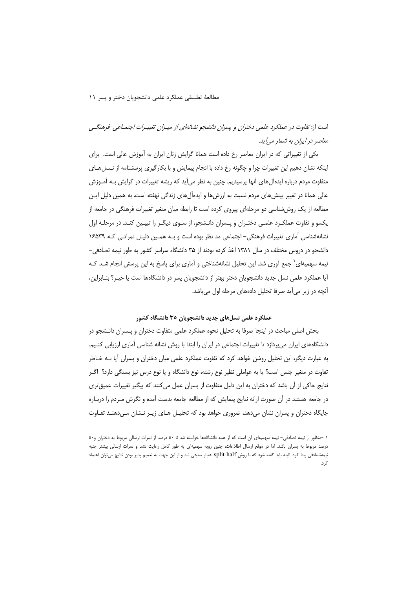### مطالعةَ تطبيقي عملكرد علمي دانشجويان دختر و يسر ١١

# است از: تفاوت در عملکرد علمی دختران و پسران دانشجو نشانهای از میپزان تغییبرات اجتماعی-فرهنگی معاصر در ایران به شمار می آید.

یکی از تغییراتی که در ایران معاصر رخ داده است همانا گرایش زنان ایران به آموزش عالی است. برای اینکه نشان دهیم این تغییرات چرا و چگونه رخ داده با انجام پیمایش و با بکارگیری پرسشنامه از نـسل هـای متفاوت مردم درباره ایدهآل های آنها پرسیدیم. چنین به نظر می آید که ریشه تغییرات در گرایش بـه آمـوزش عالی همانا در تغییر بینش های مردم نسبت به ارزش ها و ایدهآل های زندگی نهفته است. به همین دلیل ایـن مطالعه از یک روششناسی دو مرحلهای پیروی کرده است تا رابطه میان متغیر تغییرات فرهنگی در جامعه از یکسو و تفاوت عملکـرد علمـی دختـران و پـسران دانـشجو، از سـوی دیگـر را تبیـین کنـد. در مرحلـه اول نشانهشناسی آماری تغییرات فرهنگی-اجتماعی مد نظر بوده است و بـه همـین دلیـل نمراتـی کـه ۱۶۵۳۹ دانشجو در دروس مختلف در سال ۱۳۸۱ اخذ کرده بودند از ۳۵ دانشگاه سراسر کشور به طور نیمه تصادفی-نیمه سهمیهای<sup>\</sup> جمع اَوری شد. این تحلیل نشانهشناختی و اَماری برای پاسخ به این پرسش انجام شـد کـه آیا عملکرد علمی نسل جدید دانشجویان دختر بهتر از دانشجویان پسر در دانشگاهها است یا خیـر؟ بنـابراین، آنچه در زیر می آید صرفا تحلیل دادههای مرحله اول می باشد.

### عملکرد علمی نسلهای جدید دانشجویان ۳۵ دانشگاه کشور

بخش اصلی مباحث در اینجا صرفا به تحلیل نحوه عملکرد علمی متفاوت دختران و پـسران دانـشجو در دانشگاههای ایران می پردازد تا تغییرات اجتماعی در ایران را ابتدا با روش نشانه شناسی آماری ارزیابی کنـیم. به عبارت دیگر، این تحلیل روشن خواهد کرد که تفاوت عملکرد علمی میان دختران و پسران آیا بـه خـاطر تفاوت در متغیر جنس است؟ یا به عواملی نظیر نوع رشته، نوع دانشگاه و یا نوع درس نیز بستگی دارد؟ اگـر نتايج حاكي از آن باشد كه دختران به اين دليل متفاوت از پسران عمل مي كنند كه پيگير تغييرات عميق ترى در جامعه هستند در آن صورت ارائه نتايج پيمايش كه از مطالعه جامعه بدست آمده و نگرش مـردم را دربـاره جایگاه دختران و پسران نشان میدهد، ضروری خواهد بود که تحلیـل هـای زیـر نـشان مـیدهنـد تفـاوت

١ -منظور از نيمه تصادفي- نيمه سهميهاي آن است كه از همه دانشگاهها خواسته شد تا ٥٠ درصد از نمرات ارسالي مربوط به دختران و٥٠ درصد مربوط به پسران باشد. اما در موقع ارسال اطلاعات، چنین رویه سهمیهای به طور کامل رعایت نشد و نمرات ارسالی بیشتر جنبه نيمهتصادفي پيدا كرد. البته بايد گفته شود كه با روش split-half اعتبار سنجي شد و از اين جهت به تعميم پذير بودن نتايج ميتوان اعتماد .<br>ک د.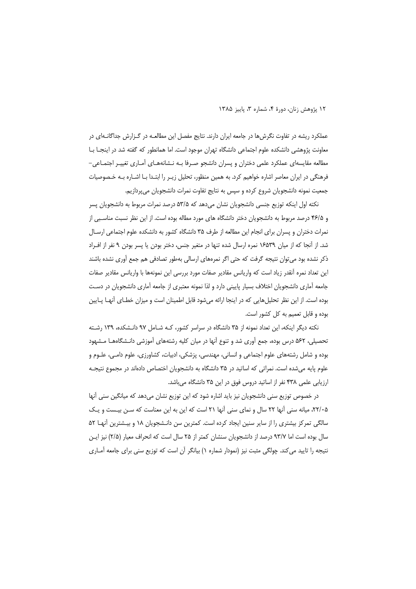عملکرد ریشه در تفاوت نگرش ها در جامعه ایران دارند. نتایج مفصل این مطالعـه در گـزارش جداگانـهای در معاونت پژوهشی دانشکده علوم اجتماعی دانشگاه تهران موجود است. اما همانطور که گفته شد در اینجـا بـا مطالعه مقایسهای عملکرد علمی دختران و پسران دانشجو صـرفا بـه نـشانههـای أمـاری تغییـر اجتمـاعی– فرهنگی در ایران معاصر اشاره خواهیم کرد. به همین منظور، تحلیل زیـر را ابتـدا بـا اشـاره بـه خـصوصیات جمعیت نمونه دانشجویان شروع کرده و سپس به نتایج تفاوت نمرات دانشجویان میپردازیم.

نکته اول اینکه توزیع جنسی دانشجویان نشان میدهد که ۵۳/۵ درصد نمرات مربوط به دانشجویان پسر و ۴۶/۵ درصد مربوط به دانشجویان دختر دانشگاه های مورد مطاله بوده است. از این نظر نسبت مناسبی از نمرات دختران و پسران برای انجام این مطالعه از طرف ۳۵ دانشگاه کشور به دانشکده علوم اجتماعی ارسـال شد. از أنجا كه از ميان ١۶۵۳٩ نمره ارسال شده تنها در متغير جنس، دختر بودن يا پسر بودن ٩ نفر از افـراد ذکر نشده بود می توان نتیجه گرفت که حتی اگر نمرههای ارسالی بهطور تصادفی هم جمع اَوری نشده باشند این تعداد نمره آنقدر زیاد است که واریانس مقادیر صفات مورد بررسی این نمونهها با واریانس مقادیر صفات جامعه آماری دانشجویان اختلاف بسیار پایینی دارد و لذا نمونه معتبری از جامعه آماری دانشجویان در دست بوده است. از این نظر تحلیلهایی که در اینجا ارائه میشود قابل اطمینان است و میزان خطـای آنهـا پـایین بوده و قابل تعمیم به کل کشور است.

نکته دیگر اینکه، این تعداد نمونه از ۳۵ دانشگاه در سراسر کشور، کـه شـامل ۹۷ دانـشکده، ۱۳۹ رشـته تحصیلی، ۵۶۲ درس بوده، جمع آوری شد و تنوع آنها در میان کلیه رشتههای آموزشی دانـشگاههــا مـشهود بوده و شامل رشتههای علوم اجتماعی و انسانی، مهندسی، پزشکی، ادبیات، کشاورزی، علوم دامـی، علـوم و علوم پایه می شده است. نمراتی که اساتید در ۳۵ دانشگاه به دانشجویان اختصاص دادهاند در مجموع نتیجـه ارزیابی علمی ۴۳۸ نفر از اساتید دروس فوق در این ۳۵ دانشگاه میباشد.

در خصوص توزیع سنی دانشجویان نیز باید اشاره شود که این توزیع نشان میدهد که میانگین سنی آنها ۲۲/۰۵، میانه سنی آنها ۲۲ سال و نمای سنی آنها ۲۱ است که این به این معناست که سـن بیـست و یـک سالگی تمرکز بیشتری را از سایر سنین ایجاد کرده است. کمترین سن دانـشجویان ۱۸ و بیـشترین آنهـا ۵۲ سال بوده است اما ۹۳/۷ درصد از دانشجویان سنشان کمتر از ۲۵ سال است که انحراف معیار (۲/۵) نیز ایـن نتیجه را تایید می کند. چولگی مثبت نیز (نمودار شماره ۱) بیانگر آن است که توزیع سنی برای جامعه آمـاری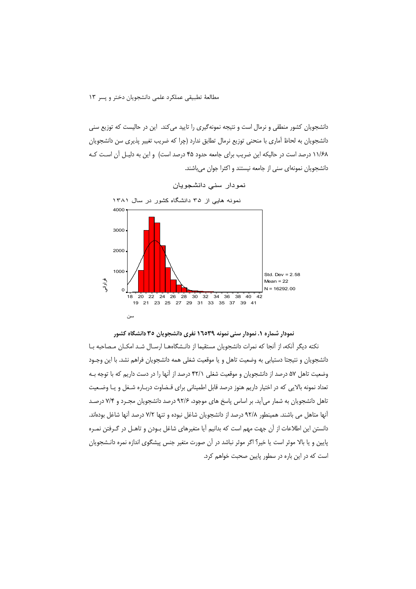دانشجویان کشور منطقی و نرمال است و نتیجه نمونهگیری را تایید می کند. این در حالیست که توزیع سنی دانشجویان به لحاظ آماری با منحنی توزیع نرمال تطابق ندارد (چرا که ضریب تغییر پذیری سن دانشجویان ۱۱/۶۸ درصد است در حالیکه این ضریب برای جامعه حدود ۴۵ درصد است) و این به دلیـل آن اسـت کـه دانشجويان نمونهاي سني از جامعه نيستند و اكثرا جوان مي باشند.



نمودار سنى دانشجويان

نمودار شماره ۱. نمودار سنی نمونه ۱٦٥۳۹ نفری دانشجویان ۳۵ دانشگاه کشور

نکته دیگر آنکه، از آنجا که نمرات دانشجویان مستقیما از دانـشگاههـا ارسـال شـد امکـان مـصاحبه بـا دانشجویان و نتیجتا دستیابی به وضعیت تاهل و یا موقعیت شغلی همه دانشجویان فراهم نشد. با این وجـود وضعیت تاهل ۵۷ درصد از دانشجویان و موقعیت شغلی ۴۲/۱ درصد از آنها را در دست داریم که با توجه بـه تعداد نمونه بالايي كه در اختيار داريم هنوز درصد قابل اطميناني براي قـضاوت دربـاره شـغل و يـا وضـعيت تاهل دانشجویان به شمار می آید. بر اساس پاسخ های موجود، ۹۲/۶ درصد دانشجویان مجـرد و ۷/۴ درصـد أنها متاهل می باشند. همینطور ۹۲/۸ درصد از دانشجویان شاغل نبوده و تنها ۷/۲ درصد أنها شاغل بودهاند. دانستن این اطلاعات از آن جهت مهم است که بدانیم آیا متغیرهای شاغل بـودن و تاهـل در گـرفتن نمـره پایین و یا بالا موثر است یا خیر؟ اگر موثر نباشد در آن صورت متغیر جنس پیشگوی اندازه نمره دانـشجویان است که در این باره در سطور پایین صحبت خواهم کرد.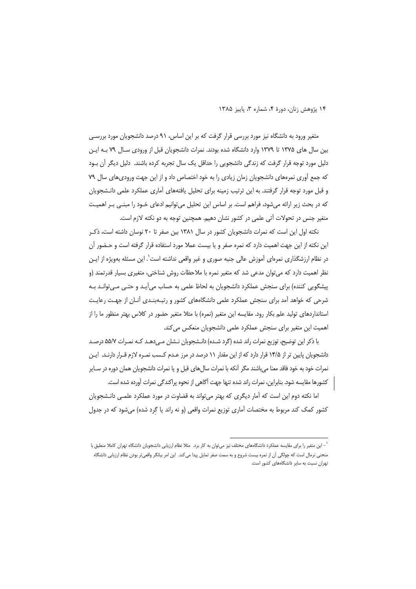متغیر ورود به دانشگاه نیز مورد بررسی قرار گرفت که بر این اساس، ۹۱ درصد دانشجویان مورد بررسـی بین سال های ۱۳۷۵ تا ۱۳۷۹ وارد دانشگاه شده بودند. نمرات دانشجویان قبل از ورودی سال ۷۹ بـه ایـن دلیل مورد توجه قرار گرفت که زندگی دانشجویی را حداقل یک سال تجربه کرده باشند. دلیل دیگر آن بـود که جمع آوری نمرههای دانشجویان زمان زیادی را به خود اختصاص داد و از این جهت ورودی های سال ۷۹ و قبل مورد توجه قرار گرفتند. به این ترتیب زمینه برای تحلیل یافتههای آماری عملکرد علمی دانـشجویان که در بحث زیر ارائه میشود، فراهم است. بر اساس این تحلیل میتوانیم ادعای خـود را مبنـی بـر اهمیـت متغیر جنس در تحولات آتی علمی در کشور نشان دهیم. همچنین توجه به دو نکته لازم است.

نکته اول این است که نمرات دانشجویان کشور در سال ۱۳۸۱ بین صفر تا ۲۰ نوسان داشته است، ذک این نکته از این جهت اهمیت دارد که نمره صفر و یا بیست عملا مورد استفاده قرار گرفته است و حـضور آن در نظام ارزشگذاری نمرهای آموزش عالی جنبه صوری و غیر واقعی نداشته است`. این مسئله بهویژه از ایـن نظر اهمیت دارد که می توان مدعی شد که متغیر نمره با ملاحظات روش شناختی، متغیری بسیار قدرتمند (و پیشگویی کننده) برای سنجش عملکرد دانشجویان به لحاظ علمی به حساب میآیـد و حتـی مـی¤وانـد بـه شرحی که خواهد آمد برای سنجش عملکرد علمی دانشگاههای کشور و رتبـهبنـدی آنـان از جهـت رعایـت استانداردهای تولید علم بکار رود. مقایسه این متغیر (نمره) با مثلا متغیر حضور در کلاس بهتر منظور ما را از اهميت اين متغير براي سنجش عملكرد علمي دانشجويان منعكس مي كند.

با ذکر این توضیح، توزیع نمرات راند شده (گرد شـده) دانـشجویان نـشان مـی دهـد کـه نمـرات ۵۵/۷ درصـد دانشجویان پایین تر از ۱۴/۵ قرار دارد که از این مقدار ۱۱ درصد در مرز عـدم کـسب نمـره لازم قـرار دارنـد. ایـن نمرات خود به خود فاقد معنا می باشند مگر آنکه با نمرات سال های قبل و یا نمرات دانشجویان همان دوره در سـایر كشورها مقايسه شود. بنابراين، نمرات راند شده تنها جهت أگاهي از نحوه پراكندگي نمرات آورده شده است.

اما نکته دوم این است که آمار دیگری که بهتر میتواند به قضاوت در مورد عملکرد علمـی دانـشجویان کشور کمک کند مربوط به مختصات آماری توزیع نمرات واقعی (و نه راند یا گرد شده) میشود که در جدول

<sup>&#</sup>x27; – این متغیر را برای مقایسه عملکرد دانشگاههای مختلف نیز میتوان به کار برد. مثلا نظام ارزیابی دانشجویان دانشگاه تهران کاملا منطبق با منحنی نرمال است که چولگی آن از نمره بیست شروع و به سمت صفر تمایل پیدا می کند. این امر بیانگر واقعیتر بودن نظام ارزیابی دانشگاه تهران نسبت به سایر دانشگاههای کشور است.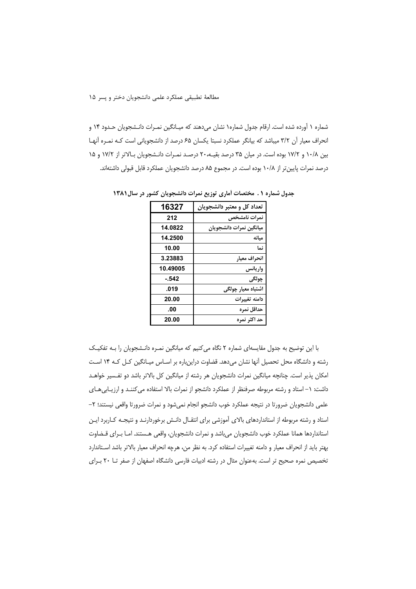شماره ۱ آورده شده است. ارقام جدول شماره۱ نشان می دهند که میـانگین نمـرات دانـشجویان حـدود ۱۴ و انحراف معیار آن ۳/۲ میباشد که بیانگر عملکرد نسبتا یکسان ۶۵ درصد از دانشجویانی است کـه نمـره آنهـا بین ۱۰/۸ و ۱۷/۲ بوده است. در میان ۳۵ درصد بقیـه، ۲۰ درصـد نمـرات دانـشجویان بـالاتر از ۱۷/۲ و ۱۵ درصد نمرات پایین تر از ۱۰/۸ بوده است. در مجموع ۸۵ درصد دانشجویان عملکرد قابل قبولی داشتهاند.

| 16327    | تعداد کل و معتبر دانشجویان |
|----------|----------------------------|
| 212      | نمرات نامشخص               |
| 14.0822  | ميانگين نمرات دانشجويان    |
| 14.2500  | ميانه                      |
| 10.00    | نما                        |
| 3.23883  | انحراف معيار               |
| 10.49005 | واريانس                    |
| $-542$   | چولگي                      |
| .019     | اشتباه معيار چول <i>گى</i> |
| 20.00    | دامنه تغييرات              |
| .00      | حداقل نمره                 |
| 20.00    | حد اکثر نمره               |

جدول شماره ۰. مختصات أماري توزيع نمرات دانشجويان كشور در سال ۱۳۸۱

با این توضیح به جدول مقایسهای شماره ۲ نگاه می کنیم که میانگین نمـره دانـشجویان را بـه تفکیـک رشته و دانشگاه محل تحصیل آنها نشان میدهد. قضاوت دراینباره بر اساس میانگین کل که ۱۴ است امکان پذیر است. چنانچه میانگین نمرات دانشجویان هر رشته از میانگین کل بالاتر باشد دو تفـسیر خواهـد داشت: ١– استاد و رشته مربوطه صرفنظر از عملكرد دانشجو از نمرات بالا استفاده مى كننـد و ارزيـابىهـاى علمی دانشجویان ضرورتا در نتیجه عملکرد خوب دانشجو انجام نمیشود و نمرات ضرورتا واقعی نیستند؛ ۲– استاد و رشته مربوطه از استانداردهای بالای آموزشی برای انتقـال دانـش برخوردارنـد و نتیجـه کـاربرد ایـن استانداردها همانا عملکرد خوب دانشجویان میباشد و نمرات دانشجویان، واقعی هـستند. امـا بـرای قـضاوت بهتر بايد از انحراف معيار و دامنه تغييرات استفاده كرد. به نظر من، هرچه انحراف معيار بالاتر باشد اسـتاندارد تخصیص نمره صحیح تر است. بهعنوان مثال در رشته ادبیات فارسی دانشگاه اصفهان از صفر تــا ٢٠ بـرای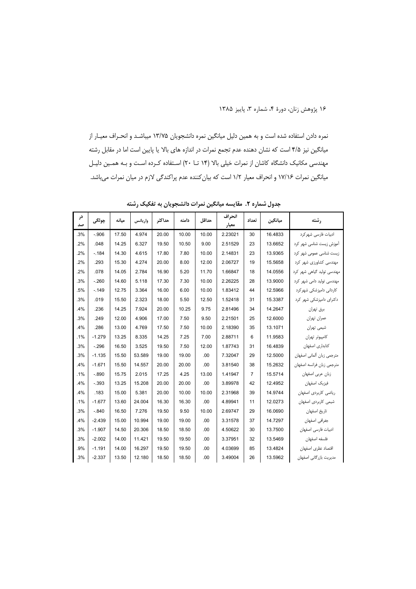نمره دادن استفاده شده است و به همین دلیل میانگین نمره دانشجویان ۱۳/۷۵ میباشـد و انحـراف معیـار از میانگین نیز ۴/۵ است که نشان دهنده عدم تجمع نمرات در اندازه های بالا یا پایین است اما در مقابل رشته مهندسی مکانیک دانشگاه کاشان از نمرات خیلی بالا (۱۴ تــا ۲۰) استفاده کرده است و بـه همـین دلیـل میانگین نمرات ۱۷/۱۶ و انحراف معیار ۱/۲ است که بیان کننده عدم پراکندگی لازم در میان نمرات میباشد.

| در<br>صد | جولگي    | ميانه | واريانس | حداكثر | دامنه | حداقل | انحراف<br>معيار | تعداد          | ميانگين | , شته                      |
|----------|----------|-------|---------|--------|-------|-------|-----------------|----------------|---------|----------------------------|
| .3%      | $-.906$  | 17.50 | 4.974   | 20.00  | 10.00 | 10.00 | 2.23021         | 30             | 16.4833 | ادبیات فارسی شهر کرد       |
| .2%      | .048     | 14.25 | 6.327   | 19.50  | 10.50 | 9.00  | 2.51529         | 23             | 13.6652 | آموزش زیست شناسی شهر کرد   |
| .2%      | $-.184$  | 14.30 | 4.615   | 17.80  | 7.80  | 10.00 | 2.14831         | 23             | 13.9365 | زیست شناسی عمومی شهر کرد   |
| .2%      | .293     | 15.30 | 4.274   | 20.00  | 8.00  | 12.00 | 2.06727         | 19             | 15.5658 | مهندسی کشاورزی شهر کرد     |
| .2%      | .078     | 14.05 | 2.784   | 16.90  | 5.20  | 11.70 | 1.66847         | 18             | 14.0556 | مهندسی تولید گیاهی شهر کرد |
| .3%      | $-.260$  | 14.60 | 5.118   | 17.30  | 7.30  | 10.00 | 2.26225         | 28             | 13.9000 | مهندسی تولید دامی شهر کرد  |
| .5%      | $-.149$  | 12.75 | 3.364   | 16.00  | 6.00  | 10.00 | 1.83412         | 44             | 12.5966 | کاردانی دامپزشکی شهر کرد   |
| .3%      | .019     | 15.50 | 2.323   | 18.00  | 5.50  | 12.50 | 1.52418         | 31             | 15.3387 | دکترای دامپزشکی شهر کرد    |
| .4%      | .236     | 14.25 | 7.924   | 20.00  | 10.25 | 9.75  | 2.81496         | 34             | 14.2647 | برق تهران                  |
| .3%      | .249     | 12.00 | 4.906   | 17.00  | 7.50  | 9.50  | 2.21501         | 25             | 12.6000 | عمران تهران                |
| .4%      | .286     | 13.00 | 4.769   | 17.50  | 7.50  | 10.00 | 2.18390         | 35             | 13.1071 | شیمی تهران                 |
| .1%      | $-1.279$ | 13.25 | 8.335   | 14.25  | 7.25  | 7.00  | 2.88711         | 6              | 11.9583 | كامپيوتر تهران             |
| .3%      | $-.296$  | 16.50 | 3.525   | 19.50  | 7.50  | 12.00 | 1.87743         | 31             | 16.4839 | كتابدارى اصفهان            |
| .3%      | $-1.135$ | 15.50 | 53.589  | 19.00  | 19.00 | .00   | 7.32047         | 29             | 12.5000 | مترجمي زبان ألماني اصفهان  |
| .4%      | $-1.671$ | 15.50 | 14.557  | 20.00  | 20.00 | .00.  | 3.81540         | 38             | 15.2632 | مترجمي زبان فرانسه اصفهان  |
| .1%      | $-.890$  | 15.75 | 2.015   | 17.25  | 4.25  | 13.00 | 1.41947         | $\overline{7}$ | 15.5714 | زبان عربى اصفهان           |
| .4%      | $-.393$  | 13.25 | 15.208  | 20.00  | 20.00 | .00   | 3.89978         | 42             | 12.4952 | فيزيك اصفهان               |
| .4%      | .183     | 15.00 | 5.381   | 20.00  | 10.00 | 10.00 | 2.31968         | 39             | 14.9744 | رياضي كاربردى اصفهان       |
| .1%      | $-1.677$ | 13.60 | 24.004  | 16.30  | 16.30 | .00   | 4.89941         | 11             | 12.0273 | شیمی کاربردی اصفهان        |
| .3%      | $-.840$  | 16.50 | 7.276   | 19.50  | 9.50  | 10.00 | 2.69747         | 29             | 16.0690 | تاريخ اصفهان               |
| .4%      | $-2.439$ | 15.00 | 10.994  | 19.00  | 19.00 | .00   | 3.31578         | 37             | 14.7297 | جغرافي اصفهان              |
| .3%      | $-1.907$ | 14.50 | 20.306  | 18.50  | 18.50 | .00.  | 4.50622         | 30             | 13.7500 | ادبيات فارسى اصفهان        |
| .3%      | $-2.002$ | 14.00 | 11.421  | 19.50  | 19.50 | .00.  | 3.37951         | 32             | 13.5469 | فلسفه اصفهان               |
| .9%      | $-1.191$ | 14.00 | 16.297  | 19.50  | 19.50 | .00   | 4.03699         | 85             | 13.4824 | اقتصاد نظرى اصفهان         |
| .3%      | $-2.337$ | 13.50 | 12.180  | 18.50  | 18.50 | .00   | 3.49004         | 26             | 13.5962 | مدیریت بازرگانی اصفهان     |

جدول شماره ۲. مقایسه میانگین نمرات دانشجویان به تفکیک رشته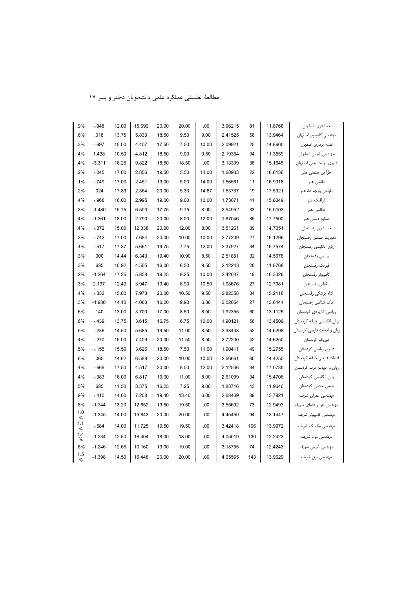| .9%      | $-.948$  | 12.00 | 15.699 | 20.00 | 20.00 | .00   | 3.96215 | 81  | 11.8768 | حسابداري اصفهان             |
|----------|----------|-------|--------|-------|-------|-------|---------|-----|---------|-----------------------------|
| .6%      | .018     | 13.75 | 5.833  | 18.50 | 9.50  | 9.00  | 2.41525 | 56  | 13.9464 | مهندسى كامپيوتر اصفهان      |
| .3%      | $-.697$  | 15.00 | 4.407  | 17.50 | 7.50  | 10.00 | 2.09921 | 25  | 14.8600 | نقشه بردارى اصفهان          |
| .4%      | 1.438    | 10.50 | 4.812  | 18.50 | 9.00  | 9.50  | 2.19354 | 34  | 11.3559 | مهندسی شیمی اصفهان          |
| .4%      | $-3.311$ | 16.25 | 9.822  | 18.50 | 18.50 | .00   | 3.13399 | 38  | 15.1645 | دبیری تربیت بدنی اصفهان     |
| .2%      | $-.045$  | 17.00 | 2.856  | 19.50 | 5.50  | 14.00 | 1.68983 | 22  | 16.6136 | طراحي صنعتي هنر             |
| .1%      | $-.749$  | 17.00 | 2.451  | 19.00 | 5.00  | 14.00 | 1.56561 | 11  | 16.9318 | نقاشى هنر                   |
| .2%      | .024     | 17.83 | 2.364  | 20.00 | 5.33  | 14.67 | 1.53737 | 19  | 17.5921 | طراحی پارچه ها، هنر         |
| .4%      | $-.968$  | 16.00 | 2.995  | 19.00 | 9.00  | 10.00 | 1.73071 | 41  | 15.8049 | گرافیک هنر                  |
| .3%      | $-1.480$ | 15.75 | 6.500  | 17.75 | 9.75  | 8.00  | 2.54952 | 33  | 15.0103 | عکاسی هنر                   |
| .4%      | $-1.361$ | 18.00 | 2.790  | 20.00 | 8.00  | 12.00 | 1.67046 | 35  | 17.7500 | صنایع دستی هنر              |
| .4%      | $-.372$  | 15.00 | 12.338 | 20.00 | 12.00 | 8.00  | 3.51261 | 39  | 14.7051 | حسابدارى رفسنجان            |
| .3%      | $-.742$  | 17.00 | 7.684  | 20.00 | 10.00 | 10.00 | 2.77209 | 27  | 16.1296 | مديريت صنعتي رفسنجان        |
| .4%      | $-.517$  | 17.37 | 5.661  | 19.75 | 7.75  | 12.00 | 2.37927 | 34  | 16.7574 | زبان انگلیسی رفسنجان        |
| .3%      | .000     | 14.44 | 6.343  | 19.40 | 10.90 | 8.50  | 2.51851 | 32  | 14.5678 | رياضى رفسنجان               |
| .3%      | .635     | 10.92 | 4.505  | 16.00 | 6.50  | 9.50  | 2.12243 | 28  | 11.8768 | فيزيك رفسنجان               |
| .2%      | $-1.264$ | 17.25 | 5.858  | 19.25 | 9.25  | 10.00 | 2.42037 | 19  | 16.3026 | كامپيوتر رفسنجان            |
| .3%      | 2.197    | 12.40 | 3.947  | 19.40 | 8.90  | 10.50 | 1.98676 | 27  | 12.7981 | باغباني رفسنجان             |
| .4%      | $-.332$  | 15.80 | 7.973  | 20.00 | 10.50 | 9.50  | 2.82358 | 34  | 15.2118 | گیاه پزشکی رفسنجان          |
| .3%      | $-1.930$ | 14.10 | 4.083  | 16.20 | 9.90  | 6.30  | 2.02054 | 27  | 13.6444 | خاک شناسی رفسنجان           |
| .6%      | .140     | 13.00 | 3.700  | 17.00 | 8.50  | 8.50  | 1.92355 | 60  | 13.1125 | ریاضی کاربردی کردستان       |
| .6%      | $-.439$  | 13.75 | 3.615  | 16.75 | 6.75  | 10.00 | 1.90121 | 56  | 13.4509 | زبان انگلیسی شبانه کردستان  |
| .5%      | $-.236$  | 14.50 | 5.685  | 19.50 | 11.00 | 8.50  | 2.38433 | 52  | 14.6298 | زبان و ادبیات فارسی کردستان |
| .4%      | $-.270$  | 15.00 | 7.409  | 20.00 | 11.50 | 8.50  | 2.72200 | 42  | 14.6250 | فيزيک کردستان               |
| .5%      | $-155$   | 15.50 | 3.626  | 18.50 | 7.50  | 11.00 | 1.90411 | 49  | 15.2755 | دبیری ریاضی کردستان         |
| .6%      | .065     | 14.62 | 6.588  | 20.00 | 10.00 | 10.00 | 2.56661 | 60  | 14.4250 | ادبیات فارسی شبانه کردستان  |
| .4%      | $-0.669$ | 17.50 | 4.517  | 20.00 | 8.00  | 12.00 | 2.12536 | 34  | 17.0735 | زبان و ادبیات عرب کردستان   |
| .4%      | $-.983$  | 16.00 | 6.817  | 19.00 | 11.00 | 8.00  | 2.61099 | 34  | 15.4706 | زبان انگلیسی کردستان        |
| .5%      | .685     | 11.50 | 3.375  | 16.25 | 7.25  | 9.00  | 1.83716 | 43  | 11.9640 | شیمی محض کردستان            |
| .9%      | $-.410$  | 14.00 | 7.208  | 19.40 | 13.40 | 6.00  | 2.68469 | 89  | 13.7921 | مهندسی عمران شریف           |
| .8%      | $-1.744$ | 13.20 | 12.652 | 19.50 | 19.50 | .00   | 3.55692 | 73  | 12.9493 | مهندسی هوا و فضای شریف      |
| 1.0<br>% | $-1.345$ | 14.00 | 19.843 | 20.00 | 20.00 | .00   | 4.45459 | 94  | 13.1447 | مهندسی کامپیوتر شریف        |
| 1.1<br>% | $-.584$  | 14.00 | 11.725 | 19.50 | 19.50 | .00   | 3.42418 | 106 | 13.9972 | مهندسی مکانیک شریف          |
| 1.4<br>% | $-1.234$ | 12.50 | 16.404 | 18.00 | 18.00 | .00   | 4.05019 | 130 | 12.2423 | مهندسی مواد شریف            |
| .8%      | $-1.246$ | 12.65 | 10.160 | 19.00 | 19.00 | .00   | 3.18755 | 74  | 12.4243 | مهندسی شیمی شریف            |
| 1.5<br>% | $-1.398$ | 14.50 | 16.448 | 20.00 | 20.00 | .00   | 4.05565 | 143 | 13.9629 | مهندسی برق شریف             |
|          |          |       |        |       |       |       |         |     |         |                             |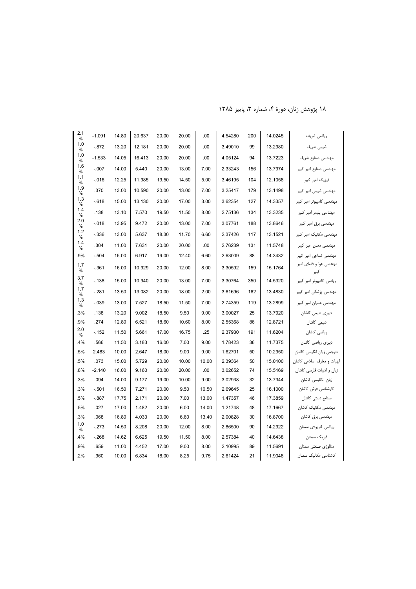| 2.1<br>$\%$ | $-1.091$ | 14.80 | 20.637 | 20.00 | 20.00 | .00   | 4.54280 | 200 | 14.0245 | رياضى شريف                     |
|-------------|----------|-------|--------|-------|-------|-------|---------|-----|---------|--------------------------------|
| 1.0<br>%    | $-.872$  | 13.20 | 12.181 | 20.00 | 20.00 | .00   | 3.49010 | 99  | 13.2980 | شیمی شریف                      |
| 1.0<br>%    | $-1.533$ | 14.05 | 16.413 | 20.00 | 20.00 | .00   | 4.05124 | 94  | 13.7223 | مهندسی صنایع شریف              |
| 1.6<br>%    | $-.007$  | 14.00 | 5.440  | 20.00 | 13.00 | 7.00  | 2.33243 | 156 | 13.7974 | مهندسی صنایع امیر کبیر         |
| 1.1         | $-.016$  | 12.25 | 11.985 | 19.50 | 14.50 | 5.00  | 3.46195 | 104 | 12.1058 | فیزیک امیر کبیر                |
| %<br>1.9    | .370     | 13.00 | 10.590 | 20.00 | 13.00 | 7.00  | 3.25417 | 179 | 13.1498 | مهندسی شیمی امیر کبیر          |
| %<br>1.3    | $-.618$  | 15.00 | 13.130 | 20.00 | 17.00 | 3.00  | 3.62354 | 127 | 14.3357 | مهندسی کامپیوتر امیر کبیر      |
| %<br>1.4    | .138     | 13.10 | 7.570  | 19.50 | 11.50 | 8.00  | 2.75136 | 134 | 13.3235 | مهندسی پلیمر امیر کبیر         |
| %<br>2.0    | $-.018$  | 13.95 | 9.472  | 20.00 | 13.00 | 7.00  | 3.07761 | 188 | 13.8646 |                                |
| %<br>1.2    |          |       |        |       |       |       |         |     |         | مهندسی برق امیر کبیر           |
| %<br>1.4    | $-.336$  | 13.00 | 5.637  | 18.30 | 11.70 | 6.60  | 2.37426 | 117 | 13.1521 | مهندسی مکانیک امیر کبیر        |
| %           | .304     | 11.00 | 7.631  | 20.00 | 20.00 | .00   | 2.76239 | 131 | 11.5748 | مهندسی معدن امیر کبیر          |
| .9%         | $-.504$  | 15.00 | 6.917  | 19.00 | 12.40 | 6.60  | 2.63009 | 88  | 14.3432 | مهندسی نساجی امیر کبیر         |
| 1.7<br>%    | $-.361$  | 16.00 | 10.929 | 20.00 | 12.00 | 8.00  | 3.30592 | 159 | 15.1764 | مهندسی هوا و فضای امیر<br>كبير |
| 3.7<br>$\%$ | $-138$   | 15.00 | 10.940 | 20.00 | 13.00 | 7.00  | 3.30764 | 350 | 14.5320 | ریاضی کامپیوتر امیر کبیر       |
| 1.7<br>%    | $-.281$  | 13.50 | 13.082 | 20.00 | 18.00 | 2.00  | 3.61696 | 162 | 13.4830 | مهندسی پزشکی امیر کبیر         |
| 1.3<br>%    | $-.039$  | 13.00 | 7.527  | 18.50 | 11.50 | 7.00  | 2.74359 | 119 | 13.2899 | مهندسی عمران امیر کبیر         |
| .3%         | .138     | 13.20 | 9.002  | 18.50 | 9.50  | 9.00  | 3.00027 | 25  | 13.7920 | دبیری شیمی کاشان               |
| .9%         | .274     | 12.80 | 6.521  | 18.60 | 10.60 | 8.00  | 2.55368 | 86  | 12.8721 | شیمی کاشان                     |
| 2.0<br>$\%$ | $-152$   | 11.50 | 5.661  | 17.00 | 16.75 | .25   | 2.37930 | 191 | 11.6204 | رياضي كاشان                    |
| .4%         | .566     | 11.50 | 3.183  | 16.00 | 7.00  | 9.00  | 1.78423 | 36  | 11.7375 | دبیری ریاضی کاشان              |
| .5%         | 2.483    | 10.00 | 2.647  | 18.00 | 9.00  | 9.00  | 1.62701 | 50  | 10.2950 | مترجمی زبان انگیسی کاشان       |
| .5%         | .073     | 15.00 | 5.729  | 20.00 | 10.00 | 10.00 | 2.39364 | 50  | 15.0100 | لپهیات و معارف اسلامی کاشان    |
| $.8\%$      | $-2.140$ | 16.00 | 9.160  | 20.00 | 20.00 | .00   | 3.02652 | 74  | 15.5169 | زبان و ادبیات فارسی کاشان      |
| .3%         | .094     | 14.00 | 9.177  | 19.00 | 10.00 | 9.00  | 3.02938 | 32  | 13.7344 | زبان انگلیسی کاشان             |
| .3%         | $-.501$  | 16.50 | 7.271  | 20.00 | 9.50  | 10.50 | 2.69645 | 25  | 16.1000 | كارشناسي فرش كاشان             |
| .5%         | $-.887$  | 17.75 | 2.171  | 20.00 | 7.00  | 13.00 | 1.47357 | 46  | 17.3859 | صنایع دستی کاشان               |
| .5%         | .027     | 17.00 | 1.482  | 20.00 | 6.00  | 14.00 | 1.21748 | 48  | 17.1667 | مهندسی مکانیک کاشان            |
| .3%         | .068     | 16.80 | 4.033  | 20.00 | 6.60  | 13.40 | 2.00828 | 30  | 16.8700 | مهندسی برق کاشان               |
| 1.0<br>%    | $-.273$  | 14.50 | 8.208  | 20.00 | 12.00 | 8.00  | 2.86500 | 90  | 14.2922 | ریاضی کاربردی سمنان            |
| .4%         | $-.268$  | 14.62 | 6.625  | 19.50 | 11.50 | 8.00  | 2.57384 | 40  | 14.6438 | فيزيک سمنان                    |
| .9%         | .659     | 11.00 | 4.452  | 17.00 | 9.00  | 8.00  | 2.10995 | 89  | 11.5691 | متالوژی صنعتی سمنان            |
| .2%         | .960     | 10.00 | 6.834  | 18.00 | 8.25  | 9.75  | 2.61424 | 21  | 11.9048 | کاشناسی مکانیک سمنان           |
|             |          |       |        |       |       |       |         |     |         |                                |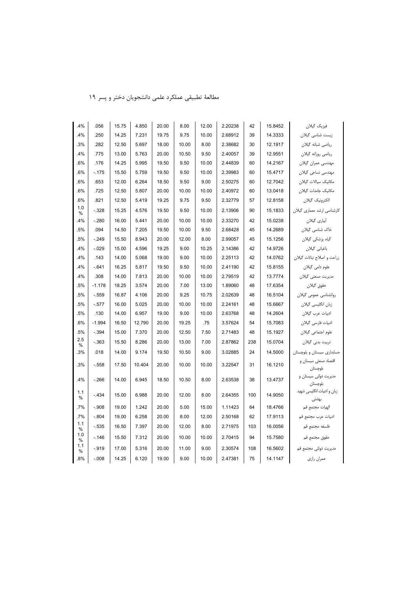| مطالعهٔ تطبیقی عملکرد علمی دانشجویان دختر و پسر ۱۹ |  |
|----------------------------------------------------|--|
|----------------------------------------------------|--|

| .4%      | .056     | 15.75 | 4.850  | 20.00 | 8.00  | 12.00 | 2.20238 | 42  | 15.8452 | فيزيک گيلان                         |
|----------|----------|-------|--------|-------|-------|-------|---------|-----|---------|-------------------------------------|
| .4%      | .250     | 14.25 | 7.231  | 19.75 | 9.75  | 10.00 | 2.68912 | 39  | 14.3333 | زیست شناسی گیلان                    |
| .3%      | .282     | 12.50 | 5.697  | 18.00 | 10.00 | 8.00  | 2.38682 | 30  | 12.1917 | رياضي شبانه گيلان                   |
| .4%      | .775     | 13.00 | 5.763  | 20.00 | 10.50 | 9.50  | 2.40057 | 39  | 12.9551 | رياضي روزانه گيلان                  |
| .6%      | .176     | 14.25 | 5.995  | 19.50 | 9.50  | 10.00 | 2.44839 | 60  | 14.2167 | مهندسی عمران گیلان                  |
| .6%      | $-.175$  | 15.50 | 5.759  | 19.50 | 9.50  | 10.00 | 2.39983 | 60  | 15.4717 | مھندسی نساجی گیلان                  |
| .6%      | .653     | 12.00 | 6.264  | 18.50 | 9.50  | 9.00  | 2.50275 | 60  | 12.7042 | مکانیک سیالات گیلان                 |
| .6%      | .725     | 12.50 | 5.807  | 20.00 | 10.00 | 10.00 | 2.40972 | 60  | 13.0418 | مكانيك جامدات گيلان                 |
| .6%      | .821     | 12.50 | 5.419  | 19.25 | 9.75  | 9.50  | 2.32779 | 57  | 12.8158 | الكترونيك گيلان                     |
| 1.0<br>% | $-.328$  | 15.25 | 4.576  | 19.50 | 9.50  | 10.00 | 2.13906 | 90  | 15.1833 | کارشناسی ارشد معماری گیلان          |
| .4%      | $-.280$  | 16.00 | 5.441  | 20.00 | 10.00 | 10.00 | 2.33270 | 42  | 15.0238 | أبياري گيلان                        |
| .5%      | .094     | 14.50 | 7.205  | 19.50 | 10.00 | 9.50  | 2.68428 | 45  | 14.2689 | خاک شناسی گیلان                     |
| .5%      | $-.249$  | 15.50 | 8.943  | 20.00 | 12.00 | 8.00  | 2.99057 | 45  | 15.1256 | گیاہ پزشکی گیلان                    |
| .4%      | $-.029$  | 15.00 | 4.596  | 19.25 | 9.00  | 10.25 | 2.14386 | 42  | 14.9726 | باغباني گيلان                       |
| .4%      | .143     | 14.00 | 5.068  | 19.00 | 9.00  | 10.00 | 2.25113 | 42  | 14.0762 | زراعت و اصلاح نباتات گیلان          |
| .4%      | $-641$   | 16.25 | 5.817  | 19.50 | 9.50  | 10.00 | 2.41190 | 42  | 15.8155 | علوم دامی گیلان                     |
| .4%      | .308     | 14.00 | 7.813  | 20.00 | 10.00 | 10.00 | 2.79519 | 42  | 13.7774 | مديريت صنعتى گيلان                  |
| .5%      | $-1.178$ | 18.25 | 3.574  | 20.00 | 7.00  | 13.00 | 1.89060 | 48  | 17.6354 | حقوق گيلان                          |
| .5%      | $-.559$  | 16.87 | 4.106  | 20.00 | 9.25  | 10.75 | 2.02639 | 48  | 16.5104 | روانشناسی عمومی گیلان               |
| .5%      | $-.577$  | 16.00 | 5.025  | 20.00 | 10.00 | 10.00 | 2.24161 | 48  | 15.6667 | زبان انگلیسی گیلان                  |
| .5%      | .130     | 14.00 | 6.957  | 19.00 | 9.00  | 10.00 | 2.63768 | 48  | 14.2604 | ادبیات عرب گیلان                    |
| .6%      | $-1.994$ | 16.50 | 12.790 | 20.00 | 19.25 | .75   | 3.57624 | 54  | 15.7083 | ادبیات فارسی گیلان                  |
| .5%      | $-.394$  | 15.00 | 7.370  | 20.00 | 12.50 | 7.50  | 2.71483 | 48  | 15.1927 | علوم اجتماعي گيلان                  |
| 2.5<br>% | $-.363$  | 15.50 | 8.286  | 20.00 | 13.00 | 7.00  | 2.87862 | 238 | 15.0704 | تربیت بدنی گیلان                    |
| .3%      | .018     | 14.00 | 9.174  | 19.50 | 10.50 | 9.00  | 3.02885 | 24  | 14.5000 | حسابداری سیستان و بلوچستان          |
| .3%      | $-.558$  | 17.50 | 10.404 | 20.00 | 10.00 | 10.00 | 3.22547 | 31  | 16.1210 | اقتصاد صنعتي سيستان و<br>بلوچستان   |
| .4%      | $-.266$  | 14.00 | 6.945  | 18.50 | 10.50 | 8.00  | 2.63538 | 38  | 13.4737 | مدیریت دولتی سیستان و<br>بلوچستان   |
| 1.1<br>% | $-.434$  | 15.00 | 6.988  | 20.00 | 12.00 | 8.00  | 2.64355 | 100 | 14.9050 | زبان و ادبیات انگلیسی شهید<br>بهشتى |
| .7%      | $-.908$  | 19.00 | 1.242  | 20.00 | 5.00  | 15.00 | 1.11423 | 64  | 18.4766 | الهيات مجتمع قم                     |
| .7%      | $-.804$  | 19.00 | 6.258  | 20.00 | 8.00  | 12.00 | 2.50168 | 62  | 17.9113 | ادبیات عرب مجتمع قم                 |
| 1.1<br>% | $-535$   | 16.50 | 7.397  | 20.00 | 12.00 | 8.00  | 2.71975 | 103 | 16.0056 | فلسفه مجتمع قم                      |
| 1.0<br>% | $-.146$  | 15.50 | 7.312  | 20.00 | 10.00 | 10.00 | 2.70415 | 94  | 15.7580 | حقوق مجتمع قم                       |
| 1.1<br>% | $-.919$  | 17.00 | 5.316  | 20.00 | 11.00 | 9.00  | 2.30574 | 108 | 16.5602 | مديريت دولتى مجتمع قم               |
| .8%      | $-.008$  | 14.25 | 6.120  | 19.00 | 9.00  | 10.00 | 2.47381 | 75  | 14.1147 | عمران رازي                          |
|          |          |       |        |       |       |       |         |     |         |                                     |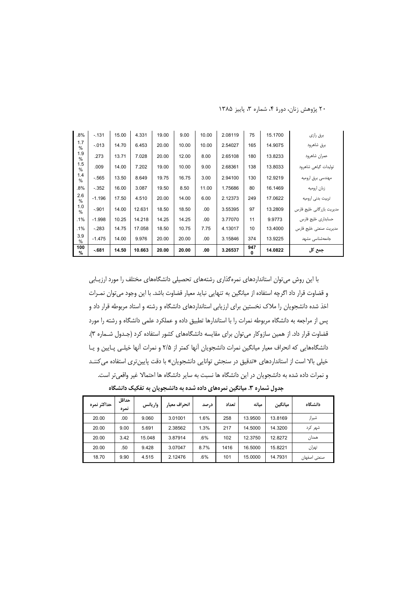| $.8\%$               | $-131$   | 15.00 | 4.331  | 19.00 | 9.00  | 10.00 | 2.08119 | 75       | 15.1700 | برق رازي                  |
|----------------------|----------|-------|--------|-------|-------|-------|---------|----------|---------|---------------------------|
| 1.7<br>$\frac{0}{0}$ | $-.013$  | 14.70 | 6.453  | 20.00 | 10.00 | 10.00 | 2.54027 | 165      | 14.9075 | برق شاهرود                |
| 1.9<br>$\%$          | .273     | 13.71 | 7.028  | 20.00 | 12.00 | 8.00  | 2.65108 | 180      | 13.8233 | عمران شاهرود              |
| 1.5<br>%             | .009     | 14.00 | 7.202  | 19.00 | 10.00 | 9.00  | 2.68361 | 138      | 13.8033 | تولیدات گیاهی شاهرود      |
| 1.4<br>%             | $-.565$  | 13.50 | 8.649  | 19.75 | 16.75 | 3.00  | 2.94100 | 130      | 12.9219 | مهندسی برق ارومیه         |
| .8%                  | $-.352$  | 16.00 | 3.087  | 19.50 | 8.50  | 11.00 | 1.75686 | 80       | 16.1469 | زبان اروميه               |
| 2.6<br>$\frac{0}{0}$ | $-1.196$ | 17.50 | 4.510  | 20.00 | 14.00 | 6.00  | 2.12373 | 249      | 17.0622 | تربیت بدنی ارومیه         |
| 1.0<br>$\%$          | $-.901$  | 14.00 | 12.631 | 18.50 | 18.50 | .00.  | 3.55395 | 97       | 13.2809 | مدیریت بازرگانی خلیج فارس |
| .1%                  | $-1.998$ | 10.25 | 14.218 | 14.25 | 14.25 | .00.  | 3.77070 | 11       | 9.9773  | حسابداری خلیج فارس        |
| .1%                  | $-.283$  | 14.75 | 17.058 | 18.50 | 10.75 | 7.75  | 4.13017 | 10       | 13.4000 | مديريت صنعتى خليج فارس    |
| 3.9<br>$\frac{0}{0}$ | $-1.475$ | 14.00 | 9.976  | 20.00 | 20.00 | .00.  | 3.15846 | 374      | 13.9225 | جامعەشناسى مشهد           |
| 100<br>$\%$          | $-681$   | 14.50 | 10.663 | 20.00 | 20.00 | .00.  | 3.26537 | 947<br>0 | 14.0822 | جمع کل                    |

٢٠ پژوهش زنان، دورهٔ ۴، شماره ٣، پاييز ١٣٨۵

با این روش می توان استانداردهای نمرهگذاری رشتههای تحصیلی دانشگاههای مختلف را مورد ارزیـابی و قضاوت قرار داد اگرچه استفاده از میانگین به تنهایی نباید معیار قضاوت باشد. با این وجود میتوان نمـرات اخذ شده دانشجویان را ملاک نخستین برای ارزیابی استانداردهای دانشگاه و رشته و استاد مربوطه قرار داد و پس از مراجعه به دانشگاه مربوطه نمرات را با استاندارها تطبیق داده و عملکرد علمی دانشگاه و رشته را مورد قضاوت قرار داد. از همین سازوکار می توان برای مقایسه دانشگاههای کشور استفاده کرد (جدول شـماره ۳). دانشگاههایی که انحراف معیار میانگین نمرات دانشجویان آنها کمتر از ۲/۵ و نمرات آنها خیلبی پـایین و یـا خیلی بالا است از استانداردهای «تدقیق در سنجش توانایی دانشجویان» با دقت پایین تری استفاده می کننـد و نمرات داده شده به دانشجویان در این دانشگاه ها نسبت به سایر دانشگاه ها احتمالا غیر واقعی تر است.

جدول شماره ۳. میانگین نمرههای داده شده به دانشجویان به تفکیک دانشگاه

| حداكثر نمره | حداقل<br>نمره | واريانس | انحراف معيار | درصد | تعداد | مىانە   | ميانگين | دانشگاه      |
|-------------|---------------|---------|--------------|------|-------|---------|---------|--------------|
| 20.00       | .00           | 9.060   | 3.01001      | 1.6% | 258   | 13.9500 | 13.8169 | شيراز        |
| 20.00       | 9.00          | 5.691   | 2.38562      | 1.3% | 217   | 14.5000 | 14.3200 | شهر کرد      |
| 20.00       | 3.42          | 15.048  | 3.87914      | .6%  | 102   | 12.3750 | 12.8272 | همدان        |
| 20.00       | .50           | 9.428   | 3.07047      | 8.7% | 1416  | 16.5000 | 15.8221 | تهران        |
| 18.70       | 9.90          | 4.515   | 2.12476      | .6%  | 101   | 15.0000 | 14.7931 | صنعتى اصفهان |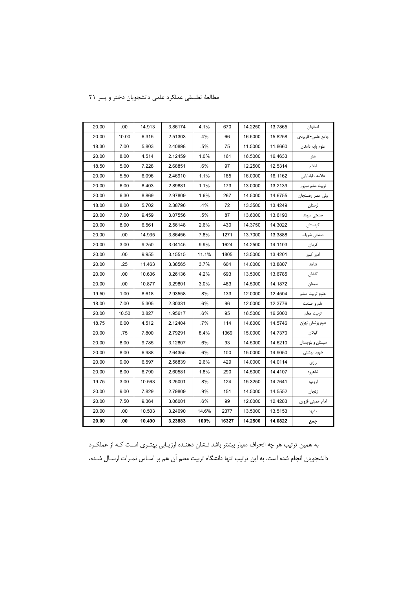| 20.00 | .00   | 14.913 | 3.86174 | 4.1%  | 670   | 14.2250 | 13.7865 | اصفهان            |
|-------|-------|--------|---------|-------|-------|---------|---------|-------------------|
| 20.00 | 10.00 | 6.315  | 2.51303 | .4%   | 66    | 16.5000 | 15.8258 | جامع علمي-كاربردي |
| 18.30 | 7.00  | 5.803  | 2.40898 | .5%   | 75    | 11.5000 | 11.8660 | علوم پايه دامغان  |
| 20.00 | 8.00  | 4.514  | 2.12459 | 1.0%  | 161   | 16.5000 | 16.4633 | هنر               |
| 18.50 | 5.00  | 7.228  | 2.68851 | .6%   | 97    | 12.2500 | 12.5314 | ايلام             |
| 20.00 | 5.50  | 6.096  | 2.46910 | 1.1%  | 185   | 16.0000 | 16.1162 | علامه طباطبايى    |
| 20.00 | 6.00  | 8.403  | 2.89881 | 1.1%  | 173   | 13.0000 | 13.2139 | تربيت معلم سبزوار |
| 20.00 | 6.30  | 8.869  | 2.97809 | 1.6%  | 267   | 14.5000 | 14.6755 | ولى عصر رفسنجان   |
| 18.00 | 8.00  | 5.702  | 2.38796 | .4%   | 72    | 13.3500 | 13.4249 | لرستان            |
| 20.00 | 7.00  | 9.459  | 3.07556 | .5%   | 87    | 13.6000 | 13.6190 | صنعتى سهند        |
| 20.00 | 8.00  | 6.561  | 2.56148 | 2.6%  | 430   | 14.3750 | 14.3022 | كردستان           |
| 20.00 | .00   | 14.935 | 3.86456 | 7.8%  | 1271  | 13.7000 | 13.3888 | صنعتي شريف        |
| 20.00 | 3.00  | 9.250  | 3.04145 | 9.9%  | 1624  | 14.2500 | 14.1103 | كرمان             |
| 20.00 | .00   | 9.955  | 3.15515 | 11.1% | 1805  | 13.5000 | 13.4201 | امیر کبیر         |
| 20.00 | .25   | 11.463 | 3.38565 | 3.7%  | 604   | 14.0000 | 13.8807 | شاهد              |
| 20.00 | .00   | 10.636 | 3.26136 | 4.2%  | 693   | 13.5000 | 13.6785 | كاشان             |
| 20.00 | .00   | 10.877 | 3.29801 | 3.0%  | 483   | 14.5000 | 14.1872 | سمنان             |
| 19.50 | 1.00  | 8.618  | 2.93558 | .8%   | 133   | 12.0000 | 12.4504 | علوم تربيت معلم   |
| 18.00 | 7.00  | 5.305  | 2.30331 | .6%   | 96    | 12.0000 | 12.3776 | علم و صنعت        |
| 20.00 | 10.50 | 3.827  | 1.95617 | .6%   | 95    | 16.5000 | 16.2000 | تربيت معلم        |
| 18.75 | 6.00  | 4.512  | 2.12404 | .7%   | 114   | 14.8000 | 14.5746 | علوم پزشکی تھران  |
| 20.00 | .75   | 7.800  | 2.79291 | 8.4%  | 1369  | 15.0000 | 14.7370 | گيلان             |
| 20.00 | 8.00  | 9.785  | 3.12807 | .6%   | 93    | 14.5000 | 14.6210 | سیستان و بلوچستان |
| 20.00 | 8.00  | 6.988  | 2.64355 | .6%   | 100   | 15.0000 | 14.9050 | شهيد بهشتى        |
| 20.00 | 9.00  | 6.597  | 2.56839 | 2.6%  | 429   | 14.0000 | 14.0114 | رازی              |
| 20.00 | 8.00  | 6.790  | 2.60581 | 1.8%  | 290   | 14.5000 | 14.4107 | شاهرود            |
| 19.75 | 3.00  | 10.563 | 3.25001 | .8%   | 124   | 15.3250 | 14.7641 | اروميه            |
| 20.00 | 9.00  | 7.829  | 2.79809 | .9%   | 151   | 14.5000 | 14.5552 | زنجان             |
| 20.00 | 7.50  | 9.364  | 3.06001 | .6%   | 99    | 12.0000 | 12.4283 | امام خمينى قزوين  |
| 20.00 | .00   | 10.503 | 3.24090 | 14.6% | 2377  | 13.5000 | 13.5153 | مشهد              |
| 20.00 | .00   | 10.490 | 3.23883 | 100%  | 16327 | 14.2500 | 14.0822 | جمع               |

# مطالعة تطبيقي عملكرد علمى دانشجويان دختر و پسر ٢١

به همین ترتیب هر چه انحراف معیار بیشتر باشد نـشان دهنـده ارزیـابی بهتـری اسـت کـه از عملکـرد دانشجویان انجام شده است. به این ترتیب تنها دانشگاه تربیت معلم آن هم بر اسـاس نمـرات ارسـال شـده،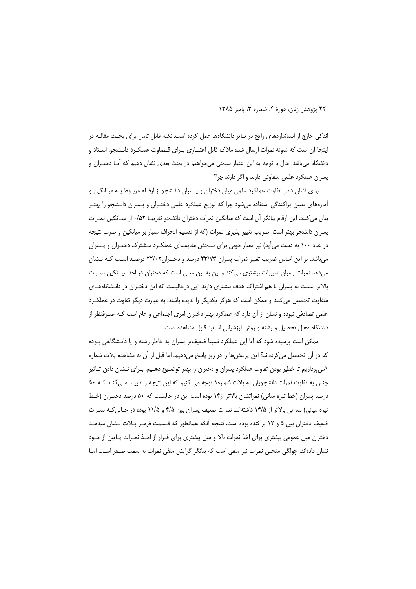اندکی خارج از استانداردهای رایج در سایر دانشگاهها عمل کرده است. نکته قابل تامل برای بحث مقالـه در اینجا آن است که نمونه نمرات ارسال شده ملاک قابل اعتبـاری بـرای قـضاوت عملکـرد دانـشجو، اسـتاد و دانشگاه میباشد. حال با توجه به این اعتبار سنجی میخواهیم در بحث بعدی نشان دهیم که آیـا دختـران و پسران عملکرد علمی متفاوتی دارند و اگر دارند چرا؟

برای نشان دادن تفاوت عملکرد علمی میان دختران و پـسران دانـشجو از ارقـام مربـوط بـه میـانگین و آمارههای تعیین پراکندگی استفاده می شود چرا که توزیع عملکرد علمی دختـران و پــسران دانــشجو را بهتـر بيان مي كنند. اين ارقام بيانگر آن است كه ميانگين نمرات دختران دانشجو تقريبــا ٠/٥٢ از ميــانگين نمــرات پسران دانشجو بهتر است. ضریب تغییر پذیری نمرات (که از تقسیم انحراف معیار بر میانگین و ضرب نتیجه در عدد ۱۰۰ به دست میآید) نیز معیار خوبی برای سنجش مقایسهای عملکـرد مـشترک دختـران و پـسران می باشد. بر این اساس ضریب تغییر نمرات پسران ۲۳/۷۳ درصد و دختـران ۲۲/۰۲ درصـد اسـت کـه نـشان می دهد نمرات پسران تغییرات بیشتری می کند و این به این معنی است که دختران در اخذ میـانگین نمـرات بالاتر نسبت به پسران با هم اشتراک هدف بیشتری دارند. این درحالیست که این دختـران در دانـشگاههـای متفاوت تحصیل می کنند و ممکن است که هرگز یکدیگر را ندیده باشند. به عبارت دیگر تفاوت در عملک رد علمی تصادفی نبوده و نشان از آن دارد که عملکرد بهتر دختران امری اجتماعی و عام است کـه صـرفنظر از دانشگاه محل تحصیل و رشته و روش ارزشیابی اساتید قابل مشاهده است.

ممکن است پرسیده شود که آیا این عملکرد نسبتا ضعیفتر پسران به خاطر رشته و یا دانـشگاهی بـوده که در آن تحصیل میکردهاند؟ این پرسشها را در زیر پاسخ میدهیم. اما قبل از آن به مشاهده پلات شماره ۱میپردازیم تا خطیر بودن تفاوت عملکرد پسران و دختران را بهتر توضیح دهـیم. بـرای نـشان دادن تـاثیر جنس به تفاوت نمرات دانشجویان به پلات شماره۱ توجه می کنیم که این نتیجه را تاییـد مـی کنـد کـه ۵۰ درصد پسران (خط تیره میانی) نمراتشان بالاتر از۱۴ بوده است این در حالیست که ۵۰ درصد دختـران (خـط تیره میانی) نمراتی بالاتر از ۱۴/۵ داشتهاند. نمرات ضعیف پسران بین ۴/۵ و ۱۱/۵ بوده در حـالی کـه نمـرات ضعیف دختران بین ۵ و ۱۲ پراکنده بوده است. نتیجه آنکه همانطور که قـسمت قرمـز پـلات نـشان میدهـد دختران میل عمومی بیشتری برای اخذ نمرات بالا و میل بیشتری برای فـرار از اخـذ نمـرات پـایین از خـود نشان دادهاند. چولگی منحنی نمرات نیز منفی است که بیانگر گرایش منفی نمرات به سمت صـفر اسـت امـا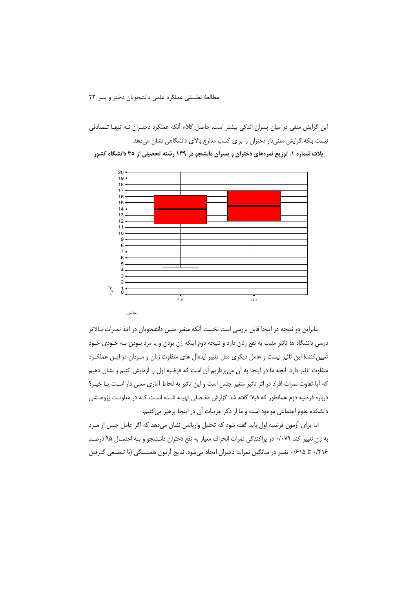مطالعةً تطبيقي عملكرد علمي دانشجويان دختر و يسر ٢٣

این گرایش منفی در میان پسران اندکی بیشتر است. حاصل کلام آنکه عملکرد دختـران نـه تنهـا تـصادفی نیست بلکه گرایش معنیدار دختران را برای کسب مدارج بالای دانشگاهی نشان میدهد. پلات شماره ۱. توزیع نمرههای دختران و پسران دانشجو در ۱۳۹ رشته تحصیلی از ۳۵ دانشگاه کشور



بنابراین دو نتیجه در اینجا قابل بررسی است نخست آنکه متغیر جنس دانشجویان در اخذ نمـرات بـالاتر درسی دانشگاه ها تاثیر مثبت به نفع زنان دارد و نتیجه دوم اینکه زن بودن و یا مرد بـودن بـه خـودی خـود تعیین کنندهٔ این تاثیر نیست و عامل دیگری مثل تغییر ایدهآل های متفاوت زنان و مـردان در ایـن عملکـرد متفاوت تاثیر دارد. آنچه ما در اینجا به آن میپردازیم آن است که فرضیه اول را آزمایش کنیم و نشان دهیم كه آيا تفاوت نمرات افراد در اثر تاثير متغير جنس است و اين تاثير به لحاظ آماري معنى دار است يـا خيـر؟ درباره فرضیه دوم همانطور که قبلا گفته شد گزارش مفـصلی تهیـه شـده اسـت کـه در معاونـت پژوهـشی دانشکده علوم اجتماعی موجود است و ما از ذکر جزییات آن در اینجا پرهیز می کنیم.

اما برای آزمون فرضیه اول باید گفته شود که تحلیل واریانس نشان می دهد که اگر عامل جنس از مـرد به زن تغییر کند ۰/۰۷۹ در پراکندگی نمرات انحراف معیار به نفع دختران دانـشجو و بـه احتمـال ۹۵ درصـد ۰/۴۱۶ تا ۰/۶۱۵ تغییر در میانگین نمرات دختران ایجاد میشود. نتایج آزمون همبستگی (با تـصنعی گـرفتن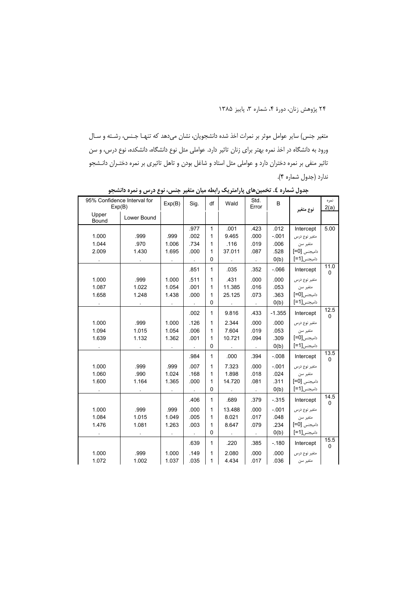متغير جنس) ساير عوامل موثر بر نمرات اخذ شده دانشجويان، نشان مىدهد كه تنهـا جـنس، رشـته و سـال ورود به دانشگاه در اخذ نمره بهتر برای زنان تاثیر دارد. عواملی مثل نوع دانشگاه، دانشکده، نوع درس، و سن تاثیر منفی بر نمره دختران دارد و عواملی مثل استاد و شاغل بودن و تاهل تاثیری بر نمره دختـران دانـشجو ندارد (جدول شماره ۴).

| 95% Confidence Interval for<br>Exp(B) |             | Exp(B) | Sig.                 | df           | Wald      | Std.<br>Error               | B        | نوع متغير     | نمره<br>2(a)         |
|---------------------------------------|-------------|--------|----------------------|--------------|-----------|-----------------------------|----------|---------------|----------------------|
| Upper<br>Bound                        | Lower Bound |        |                      |              |           |                             |          |               |                      |
|                                       |             |        | .977                 | $\mathbf{1}$ | .001      | .423                        | .012     | Intercept     | 5.00                 |
| 1.000                                 | .999        | .999   | .002                 | 1            | 9.465     | .000                        | $-.001$  | متغير نوع درس |                      |
| 1.044                                 | .970        | 1.006  | .734                 | 1            | .116      | .019                        | .006     | متغير سن      |                      |
| 2.009                                 | 1.430       | 1.695  | .000                 | 1            | 37.011    | .087                        | .528     | داميجنس [5=]  |                      |
|                                       |             |        | $\ddot{\phantom{1}}$ | $\pmb{0}$    |           | $\mathcal{L}_{\mathcal{A}}$ | O(b)     | داميجنس[1=]   |                      |
|                                       |             |        | .851                 | $\mathbf{1}$ | .035      | .352                        | $-066$   | Intercept     | 11.0<br>0            |
| 1.000                                 | .999        | 1.000  | .511                 | 1            | .431      | .000                        | .000     | متغير نوع درس |                      |
| 1.087                                 | 1.022       | 1.054  | .001                 | 1            | 11.385    | .016                        | .053     | متغير سن      |                      |
| 1.658                                 | 1.248       | 1.438  | .000                 | $\mathbf{1}$ | 25.125    | .073                        | .363     | داميجنس[0=]   |                      |
|                                       |             |        | $\ddot{\phantom{a}}$ | 0            | $\bullet$ | $\mathcal{L}$               | O(b)     | داميجنس[1=]   |                      |
|                                       |             |        | .002                 | $\mathbf{1}$ | 9.816     | .433                        | $-1.355$ | Intercept     | 12.5<br>$\Omega$     |
| 1.000                                 | .999        | 1.000  | .126                 | $\mathbf{1}$ | 2.344     | .000                        | .000     | متغير نوع درس |                      |
| 1.094                                 | 1.015       | 1.054  | .006                 | 1            | 7.604     | .019                        | .053     | متغير سن      |                      |
| 1.639                                 | 1.132       | 1.362  | .001                 | $\mathbf{1}$ | 10.721    | .094                        | .309     | داميجنس[0=]   |                      |
|                                       |             |        | $\mathbf{r}$         | 0            |           | $\sim$                      | O(b)     | داميجنس[1=]   |                      |
|                                       |             |        | .984                 | 1            | .000      | .394                        | $-0.08$  | Intercept     | 13.5<br>$\Omega$     |
| 1.000                                 | .999        | .999   | .007                 | 1            | 7.323     | .000                        | $-0.01$  | متغير نوع درس |                      |
| 1.060                                 | .990        | 1.024  | .168                 | 1            | 1.898     | .018                        | .024     | متغير سن      |                      |
| 1.600                                 | 1.164       | 1.365  | .000                 | 1            | 14.720    | .081                        | .311     | داميجنس [50]  |                      |
|                                       |             |        | $\sim$               | 0            | $\sim$    | $\sim$                      | O(b)     | داميجنس[1=]   |                      |
|                                       |             |        | .406                 | $\mathbf{1}$ | .689      | .379                        | $-315$   | Intercept     | 14.5<br>$\mathbf 0$  |
| 1.000                                 | .999        | .999   | .000                 | $\mathbf{1}$ | 13.488    | .000                        | $-.001$  | متغير نوع درس |                      |
| 1.084                                 | 1.015       | 1.049  | .005                 | 1            | 8.021     | .017                        | .048     | متغير سن      |                      |
| 1.476                                 | 1.081       | 1.263  | .003                 | 1            | 8.647     | .079                        | .234     | داميجنس [50]  |                      |
|                                       |             |        | $\sim$               | 0            | $\sim$    | $\lambda$                   | O(b)     | داميجنس[1=]   |                      |
|                                       |             |        | .639                 | $\mathbf{1}$ | .220      | .385                        | $-180$   | Intercept     | 15.5<br>$\mathbf{0}$ |
| 1.000                                 | .999        | 1.000  | .149                 | 1            | 2.080     | .000                        | .000     | متغير نوع درس |                      |
| 1.072                                 | 1.002       | 1.037  | .035                 | 1            | 4.434     | .017                        | .036     | متغير سن      |                      |

جدول شماره ٤. تخمینهای پارامتریک رابطه میان متغیر جنس، نوع درس و نمره دانشجو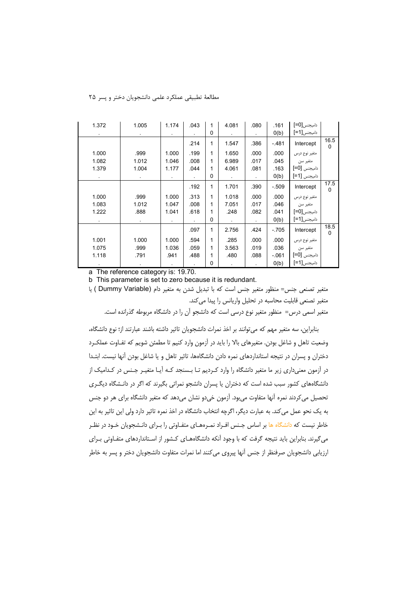|                  |                            | .161    | .080 | 4.081 | 1           | .043 | 1.174 | 1.005 | 1.372 |
|------------------|----------------------------|---------|------|-------|-------------|------|-------|-------|-------|
|                  | دامیجنس[0=]<br>دامیجنس[1=] | O(b)    |      |       | $\mathbf 0$ |      |       |       |       |
| 16.5<br>0        | Intercept                  | $-481$  | .386 | 1.547 | 1           | .214 |       |       |       |
|                  | متغير نوع درس              | .000    | .000 | 1.650 | 1           | .199 | 1.000 | .999  | 1.000 |
|                  | متغير سن                   | .045    | .017 | 6.989 | 1           | .008 | 1.046 | 1.012 | 1.082 |
|                  | داميجنس [5=]               | .163    | .081 | 4.061 | 1           | .044 | 1.177 | 1.004 | 1.379 |
|                  | داميجنس [1=]               | O(b)    |      |       | 0           |      |       |       |       |
| 17.5<br>0        | Intercept                  | $-.509$ | .390 | 1.701 | 1           | .192 |       |       |       |
|                  | متغير نوع درس              | .000    | .000 | 1.018 | 1           | .313 | 1.000 | .999  | 1.000 |
|                  | متغير سن                   | .046    | .017 | 7.051 | 1           | .008 | 1.047 | 1.012 | 1.083 |
|                  | داميجنس[0=]                | .041    | .082 | .248  | 1           | .618 | 1.041 | .888  | 1.222 |
|                  | داميجنس[1=]                | O(b)    |      |       | 0           |      |       |       |       |
| 18.5<br>$\Omega$ | Intercept                  | $-705$  | .424 | 2.756 | 1           | .097 |       |       |       |
|                  | متغير نوع درس              | .000    | .000 | .285  | 1           | .594 | 1.000 | 1.000 | 1.001 |
|                  | متغير سن                   | .036    | .019 | 3.563 | 1           | .059 | 1.036 | .999  | 1.075 |
|                  | داميجنس [5]                | $-061$  | .088 | .480  | 1           | .488 | .941  | .791  | 1.118 |
|                  | داميجنس[1=]                | O(b)    |      |       | 0           |      |       |       |       |

مطالعةَ تطبيقي عملكرد علمي دانشجويان دختر و يسر ٢۵

a The reference category is: 19.70.

b This parameter is set to zero because it is redundant.

متغير تصنعي جنس= منظور متغير جنس است كه با تبديل شدن به متغير دام (Dummy Variable ) يا متغیر تصنعی قابلیت محاسبه در تحلیل واریانس را پیدا می کند.

متغیر اسمی درس= منظور متغیر نوع درسی است که دانشجو آن را در دانشگاه مربوطه گذرانده است.

بنابراین، سه متغیر مهم که می توانند بر اخذ نمرات دانشجویان تاثیر داشته باشند عبارتند از؛ نوع دانشگاه، وضعیت تاهل و شاغل بودن. متغیرهای بالا را باید در آزمون وارد کنیم تا مطمئن شویم که تفـاوت عملکـرد دختران و پسران در نتیجه استانداردهای نمره دادن دانشگاهها، تاثیر تاهل و یا شاغل بودن آنها نیست. ابتـدا در آزمون معنیداری زیر ما متغیر دانشگاه را وارد کـردیم تـا بـسنجد کـه آیـا متغیـر جـنس در کـدامیک از دانشگاههای کشور سبب شده است که دختران یا پسران دانشجو نمراتی بگیرند که اگر در دانـشگاه دیگـری تحصیل می کردند نمره آنها متفاوت می بود. آزمون خی دو نشان می دهد که متغیر دانشگاه برای هر دو جنس به یک نحو عمل می کند. به عبارت دیگر، اگرچه انتخاب دانشگاه در اخذ نمره تاثیر دارد ولی این تاثیر به این خاطر نیست که د<mark>انشگاه ها بر اساس جنس افـراد نمـرههـای متفـاوتی را بـرای دانـشجویان خـود در نظـر</mark> میگیرند. بنابراین باید نتیجه گرفت که با وجود آنکه دانشگاههـای کـشور از اسـتانداردهای متفـاوتی بـرای ارزیابی دانشجویان صرفنظر از جنس آنها پیروی می کنند اما نمرات متفاوت دانشجویان دختر و پسر به خاطر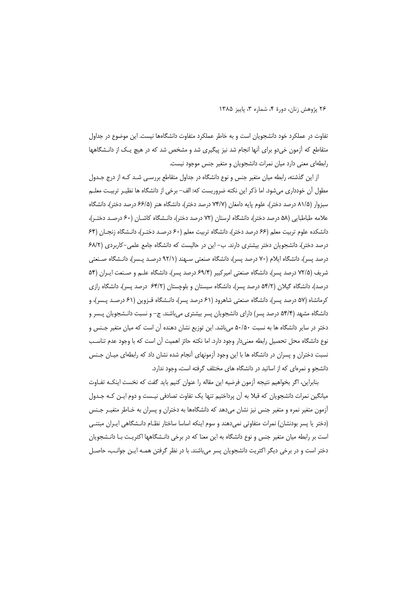تفاوت در عملکرد خود دانشجویان است و به خاطر عملکرد متفاوت دانشگاهها نیست. این موضوع در جداول متقاطع که آزمون خی دو برای آنها انجام شد نیز پیگیری شد و مشخص شد که در هیچ یـک از دانـشگاهها رابطهای معنی دارد میان نمرات دانشجویان و متغیر جنس موجود نیست.

از این گذشته، رابطه میان متغیر جنس و نوع دانشگاه در جداول متقاطع بررسـی شـد کـه از درج جـدول مطول آن خودداری میشود. اما ذکر این نکته ضروریست که: الف– برخی از دانشگاه ها نظیـر تربیـت معلـم سبزوار (۸۱/۵ درصد دختر)، علوم پایه دامغان (۷۴/۷ درصد دختر)، دانشگاه هنر (۶۶/۵ درصد دختر)، دانشگاه علامه طباطبایی (۵۸ درصد دختر)، دانشگاه لرستان (۷۲ درصد دختر)، دانـشگاه کاشــان (۶۰ درصـد دختـر)، دانشکده علوم تربیت معلم (۶۶ درصد دختر)، دانشگاه تربیت معلم (۶۰ درصـد دختـر)، دانـشگاه زنجـان (۶۴ درصد دختر)، دانشجویان دختر بیشتری دارند. ب– این در حالیست که دانشگاه جامع علمی–کاربردی (۶۸/۲ درصد پسر)، دانشگاه ایلام (۷۰ درصد پسر)، دانشگاه صنعتی سـهند (۹۲/۱ درصـد پـسر)، دانـشگاه صـنعتی شريف (٧٢/۵ درصد پسر)، دانشگاه صنعتی اميركبير (۶۹/۴ درصد پسر)، دانشگاه علـم و صـنعت ايـران (۵۴ درصد)، دانشگاه گیلان (۵۴/۲ درصد پسر)، دانشگاه سیستان و بلوچستان (۶۴/۲ درصد پسر)، دانشگاه رازی کرمانشاه (۵۷ درصد پسر)، دانشگاه صنعتی شاهرود (۶۱ درصد پسر)، دانـشگاه قــزوین (۶۱ درصــد پــسر)، و دانشگاه مشهد (۵۴/۴ درصد پسر) دارای دانشجویان پسر بیشتری میباشند. ج– و نسبت دانـشجویان پـسر و دختر در سایر دانشگاه ها به نسبت ۵۰/۵۰ میباشد. این توزیع نشان دهنده آن است که میان متغیر جـنس و نوع دانشگاه محل تحصیل رابطه معنی دار وجود دارد. اما نکته حائز اهمیت آن است که با وجود عدم تناسب نسبت دختران و پسران در دانشگاه ها با این وجود آزمونهای آنجام شده نشان داد که رابطهای میـان جـنس دانشجو و نمرهای که از اساتید در دانشگاه های مختلف گرفته است، وجود ندارد.

بنابراین، اگر بخواهیم نتیجه آزمون فرضیه این مقاله را عنوان کنیم باید گفت که نخست اینکـه تفـاوت میانگین نمرات دانشجویان که قبلا به آن پرداختیم تنها یک تفاوت تصادفی نیـست و دوم ایـن کـه جـدول آزمون متغیر نمره و متغیر جنس نیز نشان میدهد که دانشگاهها به دختران و پسران به خـاطر متغیـر جـنس (دختر یا پسر بودنشان) نمرات متفاوتی نمیدهند و سوم اینکه اساسا ساختار نظـام دانـشگاهی ایـران مبتنـی است بر رابطه میان متغیر جنس و نوع دانشگاه به این معنا که در برخی دانـشگاهها اکثریـت بـا دانـشجویان دختر است و در برخی دیگر اکثریت دانشجویان پسر می باشند. با در نظر گرفتن همـه ایـن جوانـب، حاصـل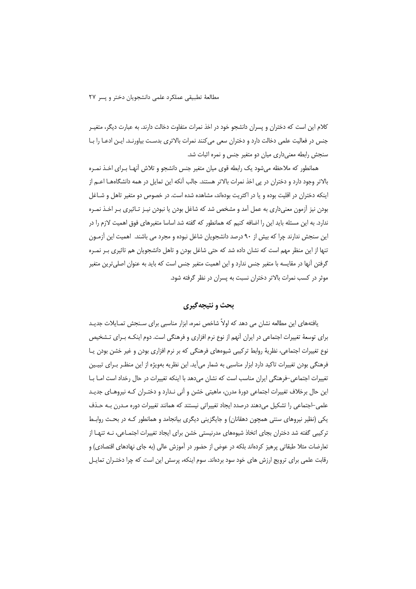كلام اين است كه دختران و پسران دانشجو خود در اخذ نمرات متفاوت دخالت دارند. به عبارت ديگر، متغيـر جنس در فعالیت علمی دخالت دارد و دختران سعی می کنند نمرات بالاتری بدست بیاورنـد. ایـن ادعـا را بـا سنجش رابطه معنی داری میان دو متغیر جنس و نمره اثبات شد.

همانطور که ملاحظه می شود یک رابطه قوی میان متغیر جنس دانشجو و تلاش آنهـا بـرای اخـذ نمـره بالاتر وجود دارد و دختران در پی اخذ نمرات بالاتر هستند. جالب آنکه این تمایل در همه دانشگاههـا اعــم از اینکه دختران در اقلیت بوده و یا در اکثریت بودهاند، مشاهده شده است. در خصوص دو متغیر تاهل و شــاغل بودن نیز أزمون معنیداری به عمل آمد و مشخص شد که شاغل بودن یا نبودن نیـز تـاثیری بـر اخـذ نمـره ندارد. به این مسئله باید این را اضافه کنیم که همانطور که گفته شد اساسا متغیرهای فوق اهمیت لازم را در این سنجش ندارند چرا که بیش از ۹۰ درصد دانشجویان شاغل نبوده و مجرد می باشند. اهمیت این آزمـون تنها از این منظر مهم است که نشان داده شد که حتی شاغل بودن و تاهل دانشجویان هم تاثیری بـر نمـره گرفتن آنها در مقایسه با متغیر جنس ندارد و این اهمیت متغیر جنس است که باید به عنوان اصلی ترین متغیر موثر در کسب نمرات بالاتر دختران نسبت به پسران در نظر گرفته شود.

## بحث و نتيجه گيري

یافتههای این مطالعه نشان می دهد که اولاً شاخص نمره، ابزار مناسبی برای سـنجش تمـایلات جدیـد برای توسعهٔ تغییرات اجتماعی در ایران آنهم از نوع نرم افزاری و فرهنگی است. دوم اینکـه بـرای تـشخیص نوع تغییرات اجتماعی، نظریهٔ روابط ترکیبی شیوههای فرهنگی که بر نرم افزاری بودن و غیر خشن بودن پـا فرهنگی بودن تغییرات تاکید دارد ابزار مناسبی به شمار می آید. این نظریه بهویژه از این منظـر بـرای تبیـین تغییرات اجتماعی-فرهنگی ایران مناسب است که نشان میدهد با اینکه تغییرات در حال رخداد است امـا بـا این حال برخلاف تغییرات اجتماعی دورهٔ مدرن، ماهیتی خشن و آنی نـدارد و دختـران کـه نیروهـای جدیـد علمی-اجتماعی را تشکیل میدهند درصدد ایجاد تغییراتی نیستند که همانند تغییرات دوره مـدرن بـه حـذف یکی (نظیر نیروهای سنتی همچون دهقانان) و جایگزینی دیگری بیانجامد و همانطور کـه در بحـث روابـط ترکیبی گفته شد دختران بجای اتخاذ شیوههای مدرنیستی خشن برای ایجاد تغییرات اجتمـاعی، نــه تنهـا از تعارضات مثلا طبقاتی پرهیز کردهاند بلکه در عوض از حضور در آموزش عالی (به جای نهادهای اقتصادی) و رقابت علمی برای ترویج ارزش های خود سود بردهاند. سوم اینکه، پرسش این است که چرا دختـران تمایـل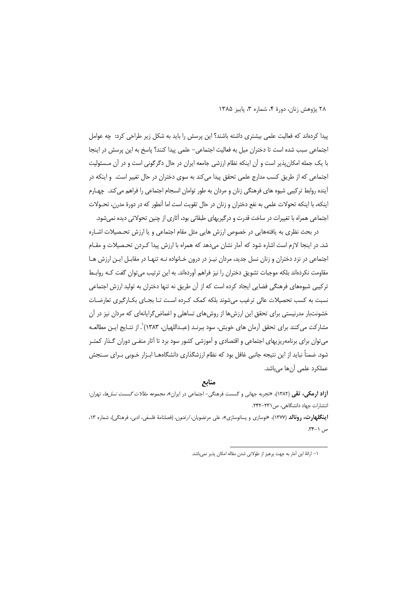٢٨ يژوهش زنان، دورة ۴، شماره ٣، ياييز ١٣٨٥

پیدا کردهاند که فعالیت علمی بیشتری داشته باشند؟ این پرسش را باید به شکل زیر طراحی کرد: چه عوامل اجتماعی سبب شده است تا دختران میل به فعالیت اجتماعی– علمی پیدا کنند؟ پاسخ به این پرسش در اینجا با یک جمله امکان پذیر است و آن اینکه نظام ارزشی جامعه ایران در حال دگرگونی است و در آن مـسئولیت اجتماعی که از طریق کسب مدارج علمی تحقق پیدا میکند به سوی دختران در حال تغییر است. و اینکه در آینده روابط ترکیبی شیوه های فرهنگی زنان و مردان به طور توامان انسجام اجتماعی را فراهم میکند. چهـارم اینکه، با اینکه تحولات علمی به نفع دختران و زنان در حال تقویت است اما آنطور که در دورهٔ مدرن، تحـولات اجتماعی همراه با تغییرات در ساخت قدرت و درگیریهای طبقاتی بود، آثاری از چنین تحولاتی دیده نمیشود.

در بحث نظری به یافتههایی در خصوص ارزش هایی مثل مقام اجتماعی و یا ارزش تحـصیلات اشـاره شد. در اینجا لازم است اشاره شود که آمار نشان میدهد که همراه با ارزش پیدا کـردن تحـصیلات و مقـام اجتماعی در نزد دختران و زنان نسل جدید، مردان نیـز در درون خـانواده نـه تنهـا در مقابـل ایـن ارزش هـا مقاومت نکردهاند بلکه موجبات تشویق دختران را نیز فراهم آوردهاند. به این ترتیب می توان گفت کـه روابـط ترکیبی شیوههای فرهنگی فضایی ایجاد کرده است که از آن طریق نه تنها دختران به تولید ارزش اجتماعی نسبت به کسب تحصیلات عالی ترغیب می شوند بلکه کمک کـرده اسـت تــا بجـای بکــارگیری تعارضــات خشونتبار مدرنیستی برای تحقق این ارزشها از روشهای تساهلی و اغماض گرایانهای که مردان نیز در آن مشاركت مي كنند براي تحقق آرمان هاي خويش، سود ببرنـد (عبـداللهيان، ١٣٨٣)`. از نتـابج ايـن مطالعـه می توان برای برنامهریزیهای اجتماعی و اقتصادی و آموزشی کشور سود برد تا آثار منفـی دوران گـذار کمتـر شود. ضمناً نباید از این نتیجه جانبی غافل بود که نظام ارزشگذاری دانشگاههـا ابـزار خـوبی بـرای سـنجش عملكرد علمى أنها مىباشد.

منابع

**أزاد ارمکی، تقی** (۱۳۸۲)، «تجربه جهانی و گسست فرهنگی- اجتماعی در ایران*»، مجموعه مقالات گسست نسلها*، تهران: انتشارات جهاد دانشگاهی، ص ٢٣١-٢۴٢.

**اینگلهارت، رونالد** (۱۳۷۷)، «نوسازی و پسانوسازی»، علی مرتضویان، *ارغنون*، (فصلنامهٔ فلسفی، ادبی، فرهنگی)، شماره ۱۳، ص ١-٣۴.

١– ارائهٔ این آمار به جهت پرهیز از طولانی شدن مقاله امکان پذیر نمیباشد.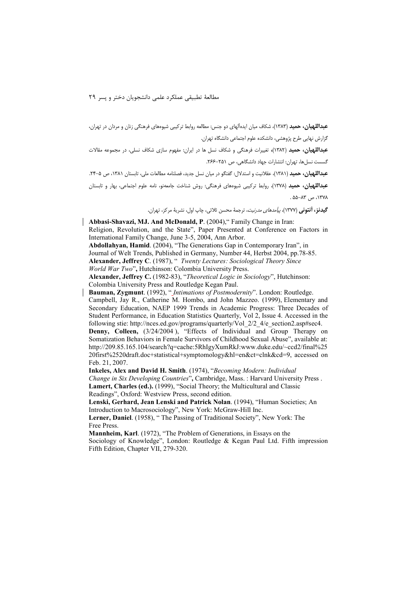مطالعةَ تطبيقي عملكرد علمي دانشجويان دختر و يسر ٢٩

عبداللهیان، حمید (۱۳۸۳)، شکاف میان ایدهآلهای دو جنس: مطالعه روابط ترکیبی شیوههای فرهنگی زنان و مردان در تهران، گزارش نهایی طرح پژوهشی، دانشکده علوم اجتماعی دانشگاه تهران.

عبداللهیان، حمید (۱۳۸۲)، تغییرات فرهنگی و شکاف نسل ها در ایران: مفهوم سازی شکاف نسلی، در مجموعه مقالات گسست نسل ها، تهران: انتشارات جهاد دانشگاهی، ص ۲۵۱–۲۶۶.

عبداللهیان، حمید (۱۳۸۱)، عقلانیت و استدلال: گفتگو در میان نسل جدید، فصلنامه مطالعات ملی، تابستان ۱۳۸۱، ص ۵-۲۴.

عبداللهیان، حمید (۱۳۷۸)، روابط ترکیبی شیوههای فرهنگی: روش شناخت جامعهنو، نامه علوم اجتماعی، بهار و تابستان ١٣٧٨، ص ٨٣-٥۵.

**گيدنز، آنتون**ي (١٣٧٧)، *پيآمدهاي مدرنيت*، ترجمهٔ محسن ثلاثي، چاپ اول، نشريهٔ مركز، تهران.

Abbasi-Shavazi, MJ. And McDonald, P. (2004)." Family Change in Iran: Religion, Revolution, and the State", Paper Presented at Conference on Factors in International Family Change, June 3-5, 2004, Ann Arbor.

Abdollahyan, Hamid. (2004), "The Generations Gap in Contemporary Iran", in Journal of Welt Trends, Published in Germany, Number 44, Herbst 2004, pp.78-85. Alexander, Jeffrey C. (1987), " Twenty Lectures: Sociological Theory Since World War Two", Hutchinson: Colombia University Press.

Alexander, Jeffrey C. (1982-83), "Theoretical Logic in Sociology", Hutchinson: Colombia University Press and Routledge Kegan Paul.

Bauman, Zygmunt. (1992), "*Intimations of Postmodernity*". London: Routledge. Campbell, Jay R., Catherine M. Hombo, and John Mazzeo. (1999), Elementary and Secondary Education, NAEP 1999 Trends in Academic Progress: Three Decades of Student Performance, in Education Statistics Quarterly, Vol 2, Issue 4. Accessed in the following stie: http://nces.ed.gov/programs/quarterly/Vol 2/2 4/e section2.asp#sec4. Denny, Colleen, (3/24/2004), "Effects of Individual and Group Therapy on Somatization Behaviors in Female Survivors of Childhood Sexual Abuse", available at: http://209.85.165.104/search?q=cache:5RhIgyXumRkJ:www.duke.edu/~ccd2/final%25 20first%2520draft.doc+statistical+symptomology&hl=en&ct=clnk&cd=9, accessed on Feb. 21, 2007.

Inkeles, Alex and David H. Smith. (1974), "Becoming Modern: Individual Change in Six Developing Countries", Cambridge, Mass.: Harvard University Press. Lamert, Charles (ed.). (1999), "Social Theory; the Multicultural and Classic Readings", Oxford: Westview Press, second edition.

Lenski, Gerhard, Jean Lenski and Patrick Nolan. (1994), "Human Societies; An Introduction to Macrosociology", New York: McGraw-Hill Inc.

Lerner, Daniel. (1958), "The Passing of Traditional Society", New York: The Free Press.

Mannheim, Karl. (1972), "The Problem of Generations, in Essays on the Sociology of Knowledge", London: Routledge & Kegan Paul Ltd. Fifth impression Fifth Edition, Chapter VII, 279-320.